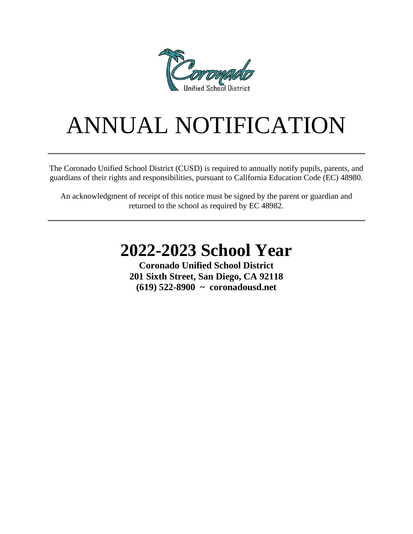

# ANNUAL NOTIFICATION

The Coronado Unified School District (CUSD) is required to annually notify pupils, parents, and guardians of their rights and responsibilities, pursuant to California Education Code (EC) 48980.

An acknowledgment of receipt of this notice must be signed by the parent or guardian and returned to the school as required by EC 48982.

## **2022-2023 School Year**

**Coronado Unified School District 201 Sixth Street, San Diego, CA 92118 (619) 522-8900 ~ coronadousd.net**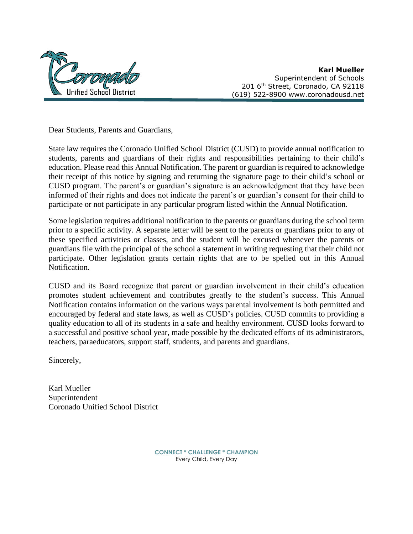

**Karl Mueller**  $\widetilde{M}/\widetilde{Q}/\widetilde{Q}/\widetilde{Q}$ 201 6<sup>th</sup> Street, Coronado, CA 92118 (619) 522-8900 www.coronadousd.net

Dear Students, Parents and Guardians,

State law requires the Coronado Unified School District (CUSD) to provide annual notification to students, parents and guardians of their rights and responsibilities pertaining to their child's education. Please read this Annual Notification. The parent or guardian is required to acknowledge their receipt of this notice by signing and returning the signature page to their child's school or CUSD program. The parent's or guardian's signature is an acknowledgment that they have been informed of their rights and does not indicate the parent's or guardian's consent for their child to participate or not participate in any particular program listed within the Annual Notification.

Some legislation requires additional notification to the parents or guardians during the school term prior to a specific activity. A separate letter will be sent to the parents or guardians prior to any of these specified activities or classes, and the student will be excused whenever the parents or guardians file with the principal of the school a statement in writing requesting that their child not participate. Other legislation grants certain rights that are to be spelled out in this Annual Notification.

CUSD and its Board recognize that parent or guardian involvement in their child's education promotes student achievement and contributes greatly to the student's success. This Annual Notification contains information on the various ways parental involvement is both permitted and encouraged by federal and state laws, as well as CUSD's policies. CUSD commits to providing a quality education to all of its students in a safe and healthy environment. CUSD looks forward to a successful and positive school year, made possible by the dedicated efforts of its administrators, teachers, paraeducators, support staff, students, and parents and guardians.

Sincerely,

Karl Mueller Superintendent Coronado Unified School District

> **CONNECT \* CHALLENGE \* CHAMPION** Every Child, Every Day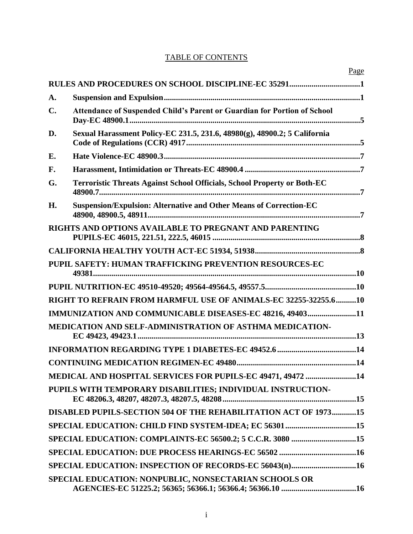## TABLE OF CONTENTS

|                |                                                                                 | Page |
|----------------|---------------------------------------------------------------------------------|------|
|                |                                                                                 |      |
| A.             |                                                                                 |      |
| $\mathbf{C}$ . | <b>Attendance of Suspended Child's Parent or Guardian for Portion of School</b> |      |
| D.             | Sexual Harassment Policy-EC 231.5, 231.6, 48980(g), 48900.2; 5 California       |      |
| E.             |                                                                                 |      |
| F.             |                                                                                 |      |
| G.             | <b>Terroristic Threats Against School Officials, School Property or Both-EC</b> |      |
| H.             | Suspension/Expulsion: Alternative and Other Means of Correction-EC              |      |
|                | RIGHTS AND OPTIONS AVAILABLE TO PREGNANT AND PARENTING                          |      |
|                |                                                                                 |      |
|                | PUPIL SAFETY: HUMAN TRAFFICKING PREVENTION RESOURCES-EC                         |      |
|                |                                                                                 |      |
|                | RIGHT TO REFRAIN FROM HARMFUL USE OF ANIMALS-EC 32255-32255.610                 |      |
|                | IMMUNIZATION AND COMMUNICABLE DISEASES-EC 48216, 4940311                        |      |
|                | MEDICATION AND SELF-ADMINISTRATION OF ASTHMA MEDICATION-                        |      |
|                |                                                                                 |      |
|                |                                                                                 |      |
|                | MEDICAL AND HOSPITAL SERVICES FOR PUPILS-EC 49471, 49472 14                     |      |
|                | PUPILS WITH TEMPORARY DISABILITIES; INDIVIDUAL INSTRUCTION-                     |      |
|                | DISABLED PUPILS-SECTION 504 OF THE REHABILITATION ACT OF 197315                 |      |
|                | SPECIAL EDUCATION: CHILD FIND SYSTEM-IDEA; EC 5630115                           |      |
|                | SPECIAL EDUCATION: COMPLAINTS-EC 56500.2; 5 C.C.R. 3080 15                      |      |
|                |                                                                                 |      |
|                | SPECIAL EDUCATION: INSPECTION OF RECORDS-EC 56043(n)16                          |      |
|                | SPECIAL EDUCATION: NONPUBLIC, NONSECTARIAN SCHOOLS OR                           |      |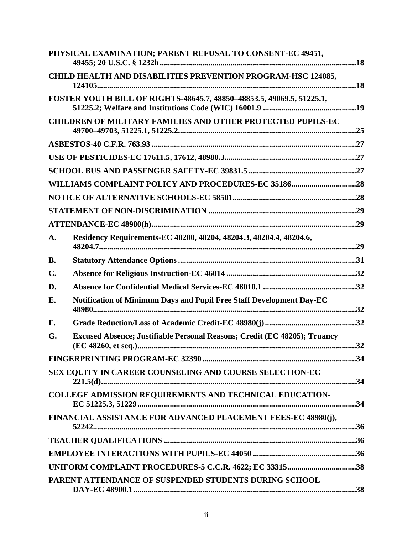|               | PHYSICAL EXAMINATION; PARENT REFUSAL TO CONSENT-EC 49451,                 |  |
|---------------|---------------------------------------------------------------------------|--|
|               | CHILD HEALTH AND DISABILITIES PREVENTION PROGRAM-HSC 124085,              |  |
|               | FOSTER YOUTH BILL OF RIGHTS-48645.7, 48850-48853.5, 49069.5, 51225.1,     |  |
|               | <b>CHILDREN OF MILITARY FAMILIES AND OTHER PROTECTED PUPILS-EC</b>        |  |
|               |                                                                           |  |
|               |                                                                           |  |
|               |                                                                           |  |
|               |                                                                           |  |
|               |                                                                           |  |
|               |                                                                           |  |
|               |                                                                           |  |
| A.            | Residency Requirements-EC 48200, 48204, 48204.3, 48204.4, 48204.6,        |  |
| <b>B.</b>     |                                                                           |  |
| $C_{\bullet}$ |                                                                           |  |
| D.            |                                                                           |  |
| E.            | Notification of Minimum Days and Pupil Free Staff Development Day-EC      |  |
| F.            |                                                                           |  |
| G.            | Excused Absence; Justifiable Personal Reasons; Credit (EC 48205); Truancy |  |
|               |                                                                           |  |
|               | SEX EQUITY IN CAREER COUNSELING AND COURSE SELECTION-EC                   |  |
|               | COLLEGE ADMISSION REQUIREMENTS AND TECHNICAL EDUCATION-                   |  |
|               | FINANCIAL ASSISTANCE FOR ADVANCED PLACEMENT FEES-EC 48980(j),             |  |
|               |                                                                           |  |
|               |                                                                           |  |
|               | UNIFORM COMPLAINT PROCEDURES-5 C.C.R. 4622; EC 3331538                    |  |
|               | PARENT ATTENDANCE OF SUSPENDED STUDENTS DURING SCHOOL                     |  |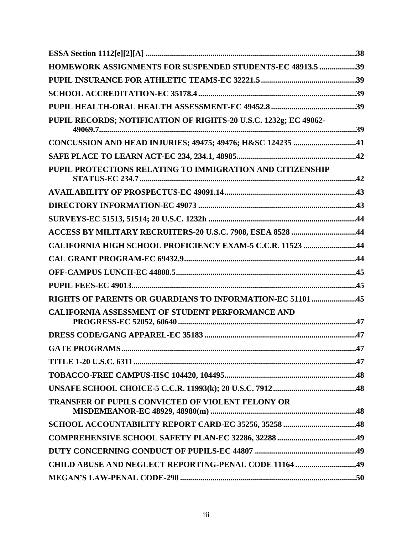| HOMEWORK ASSIGNMENTS FOR SUSPENDED STUDENTS-EC 48913.5 39        |  |
|------------------------------------------------------------------|--|
|                                                                  |  |
|                                                                  |  |
|                                                                  |  |
| PUPIL RECORDS; NOTIFICATION OF RIGHTS-20 U.S.C. 1232g; EC 49062- |  |
| CONCUSSION AND HEAD INJURIES; 49475; 49476; H&SC 124235 41       |  |
|                                                                  |  |
| PUPIL PROTECTIONS RELATING TO IMMIGRATION AND CITIZENSHIP        |  |
|                                                                  |  |
|                                                                  |  |
|                                                                  |  |
| ACCESS BY MILITARY RECRUITERS-20 U.S.C. 7908, ESEA 8528 44       |  |
| CALIFORNIA HIGH SCHOOL PROFICIENCY EXAM-5 C.C.R. 11523 44        |  |
|                                                                  |  |
|                                                                  |  |
|                                                                  |  |
| RIGHTS OF PARENTS OR GUARDIANS TO INFORMATION-EC 51101 45        |  |
| CALIFORNIA ASSESSMENT OF STUDENT PERFORMANCE AND                 |  |
|                                                                  |  |
| <b>GATE PROGRAMS.</b>                                            |  |
|                                                                  |  |
|                                                                  |  |
|                                                                  |  |
| <b>TRANSFER OF PUPILS CONVICTED OF VIOLENT FELONY OR</b>         |  |
|                                                                  |  |
|                                                                  |  |
|                                                                  |  |
| CHILD ABUSE AND NEGLECT REPORTING-PENAL CODE 11164 49            |  |
|                                                                  |  |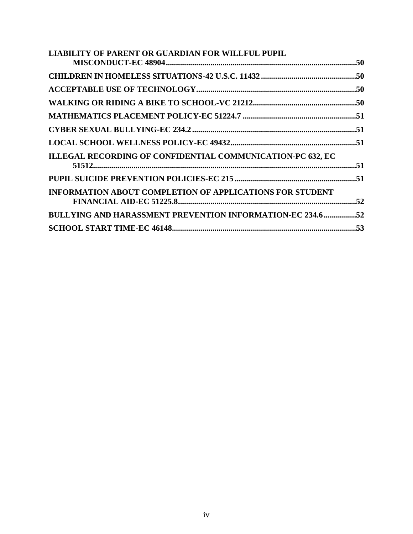| <b>LIABILITY OF PARENT OR GUARDIAN FOR WILLFUL PUPIL</b>          |  |
|-------------------------------------------------------------------|--|
|                                                                   |  |
|                                                                   |  |
|                                                                   |  |
|                                                                   |  |
|                                                                   |  |
|                                                                   |  |
|                                                                   |  |
| ILLEGAL RECORDING OF CONFIDENTIAL COMMUNICATION-PC 632, EC        |  |
|                                                                   |  |
|                                                                   |  |
| <b>INFORMATION ABOUT COMPLETION OF APPLICATIONS FOR STUDENT</b>   |  |
|                                                                   |  |
| <b>BULLYING AND HARASSMENT PREVENTION INFORMATION-EC 234.6 52</b> |  |
|                                                                   |  |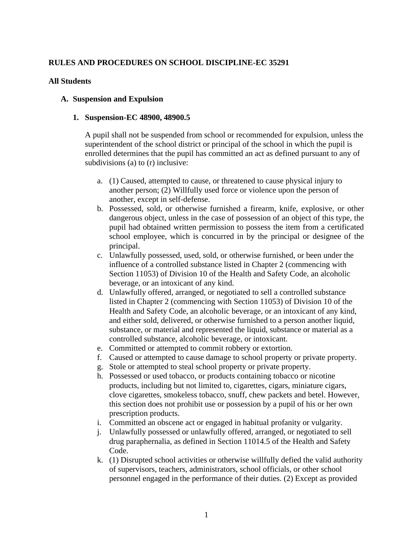#### **RULES AND PROCEDURES ON SCHOOL DISCIPLINE-EC 35291**

#### **All Students**

#### **A. Suspension and Expulsion**

#### **1. Suspension-EC 48900, 48900.5**

A pupil shall not be suspended from school or recommended for expulsion, unless the superintendent of the school district or principal of the school in which the pupil is enrolled determines that the pupil has committed an act as defined pursuant to any of subdivisions (a) to (r) inclusive:

- a. (1) Caused, attempted to cause, or threatened to cause physical injury to another person; (2) Willfully used force or violence upon the person of another, except in self-defense.
- b. Possessed, sold, or otherwise furnished a firearm, knife, explosive, or other dangerous object, unless in the case of possession of an object of this type, the pupil had obtained written permission to possess the item from a certificated school employee, which is concurred in by the principal or designee of the principal.
- c. Unlawfully possessed, used, sold, or otherwise furnished, or been under the influence of a controlled substance listed in Chapter 2 (commencing with Section 11053) of Division 10 of the Health and Safety Code, an alcoholic beverage, or an intoxicant of any kind.
- d. Unlawfully offered, arranged, or negotiated to sell a controlled substance listed in Chapter 2 (commencing with Section 11053) of Division 10 of the Health and Safety Code, an alcoholic beverage, or an intoxicant of any kind, and either sold, delivered, or otherwise furnished to a person another liquid, substance, or material and represented the liquid, substance or material as a controlled substance, alcoholic beverage, or intoxicant.
- e. Committed or attempted to commit robbery or extortion.
- f. Caused or attempted to cause damage to school property or private property.
- g. Stole or attempted to steal school property or private property.
- h. Possessed or used tobacco, or products containing tobacco or nicotine products, including but not limited to, cigarettes, cigars, miniature cigars, clove cigarettes, smokeless tobacco, snuff, chew packets and betel. However, this section does not prohibit use or possession by a pupil of his or her own prescription products.
- i. Committed an obscene act or engaged in habitual profanity or vulgarity.
- j. Unlawfully possessed or unlawfully offered, arranged, or negotiated to sell drug paraphernalia, as defined in Section 11014.5 of the Health and Safety Code.
- k. (1) Disrupted school activities or otherwise willfully defied the valid authority of supervisors, teachers, administrators, school officials, or other school personnel engaged in the performance of their duties. (2) Except as provided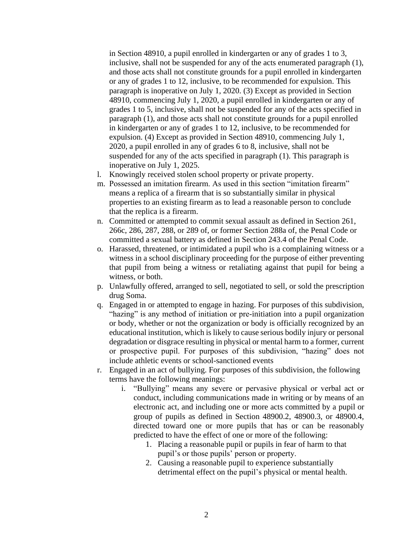in Section 48910, a pupil enrolled in kindergarten or any of grades 1 to 3, inclusive, shall not be suspended for any of the acts enumerated paragraph (1), and those acts shall not constitute grounds for a pupil enrolled in kindergarten or any of grades 1 to 12, inclusive, to be recommended for expulsion. This paragraph is inoperative on July 1, 2020. (3) Except as provided in Section 48910, commencing July 1, 2020, a pupil enrolled in kindergarten or any of grades 1 to 5, inclusive, shall not be suspended for any of the acts specified in paragraph (1), and those acts shall not constitute grounds for a pupil enrolled in kindergarten or any of grades 1 to 12, inclusive, to be recommended for expulsion. (4) Except as provided in Section 48910, commencing July 1, 2020, a pupil enrolled in any of grades 6 to 8, inclusive, shall not be suspended for any of the acts specified in paragraph (1). This paragraph is inoperative on July 1, 2025.

- l. Knowingly received stolen school property or private property.
- m. Possessed an imitation firearm. As used in this section "imitation firearm" means a replica of a firearm that is so substantially similar in physical properties to an existing firearm as to lead a reasonable person to conclude that the replica is a firearm.
- n. Committed or attempted to commit sexual assault as defined in Section 261, 266c, 286, 287, 288, or 289 of, or former Section 288a of, the Penal Code or committed a sexual battery as defined in Section 243.4 of the Penal Code.
- o. Harassed, threatened, or intimidated a pupil who is a complaining witness or a witness in a school disciplinary proceeding for the purpose of either preventing that pupil from being a witness or retaliating against that pupil for being a witness, or both.
- p. Unlawfully offered, arranged to sell, negotiated to sell, or sold the prescription drug Soma.
- q. Engaged in or attempted to engage in hazing. For purposes of this subdivision, "hazing" is any method of initiation or pre-initiation into a pupil organization or body, whether or not the organization or body is officially recognized by an educational institution, which is likely to cause serious bodily injury or personal degradation or disgrace resulting in physical or mental harm to a former, current or prospective pupil. For purposes of this subdivision, "hazing" does not include athletic events or school-sanctioned events
- r. Engaged in an act of bullying. For purposes of this subdivision, the following terms have the following meanings:
	- i. "Bullying" means any severe or pervasive physical or verbal act or conduct, including communications made in writing or by means of an electronic act, and including one or more acts committed by a pupil or group of pupils as defined in Section 48900.2, 48900.3, or 48900.4, directed toward one or more pupils that has or can be reasonably predicted to have the effect of one or more of the following:
		- 1. Placing a reasonable pupil or pupils in fear of harm to that pupil's or those pupils' person or property.
		- 2. Causing a reasonable pupil to experience substantially detrimental effect on the pupil's physical or mental health.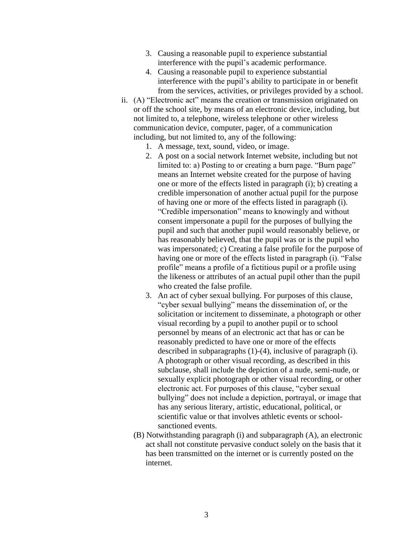- 3. Causing a reasonable pupil to experience substantial interference with the pupil's academic performance.
- 4. Causing a reasonable pupil to experience substantial interference with the pupil's ability to participate in or benefit from the services, activities, or privileges provided by a school.
- ii. (A) "Electronic act" means the creation or transmission originated on or off the school site, by means of an electronic device, including, but not limited to, a telephone, wireless telephone or other wireless communication device, computer, pager, of a communication including, but not limited to, any of the following:
	- 1. A message, text, sound, video, or image.
	- 2. A post on a social network Internet website, including but not limited to: a) Posting to or creating a burn page. "Burn page" means an Internet website created for the purpose of having one or more of the effects listed in paragraph (i); b) creating a credible impersonation of another actual pupil for the purpose of having one or more of the effects listed in paragraph (i). "Credible impersonation" means to knowingly and without consent impersonate a pupil for the purposes of bullying the pupil and such that another pupil would reasonably believe, or has reasonably believed, that the pupil was or is the pupil who was impersonated; c) Creating a false profile for the purpose of having one or more of the effects listed in paragraph (i). "False profile" means a profile of a fictitious pupil or a profile using the likeness or attributes of an actual pupil other than the pupil who created the false profile.
	- 3. An act of cyber sexual bullying. For purposes of this clause, "cyber sexual bullying" means the dissemination of, or the solicitation or incitement to disseminate, a photograph or other visual recording by a pupil to another pupil or to school personnel by means of an electronic act that has or can be reasonably predicted to have one or more of the effects described in subparagraphs (1)-(4), inclusive of paragraph (i). A photograph or other visual recording, as described in this subclause, shall include the depiction of a nude, semi-nude, or sexually explicit photograph or other visual recording, or other electronic act. For purposes of this clause, "cyber sexual bullying" does not include a depiction, portrayal, or image that has any serious literary, artistic, educational, political, or scientific value or that involves athletic events or schoolsanctioned events.
	- (B) Notwithstanding paragraph (i) and subparagraph (A), an electronic act shall not constitute pervasive conduct solely on the basis that it has been transmitted on the internet or is currently posted on the internet.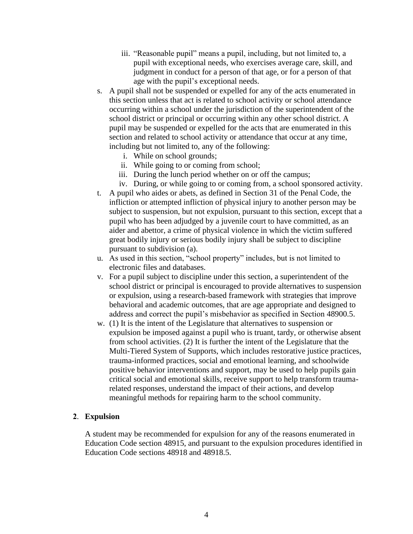- iii. "Reasonable pupil" means a pupil, including, but not limited to, a pupil with exceptional needs, who exercises average care, skill, and judgment in conduct for a person of that age, or for a person of that age with the pupil's exceptional needs.
- s. A pupil shall not be suspended or expelled for any of the acts enumerated in this section unless that act is related to school activity or school attendance occurring within a school under the jurisdiction of the superintendent of the school district or principal or occurring within any other school district. A pupil may be suspended or expelled for the acts that are enumerated in this section and related to school activity or attendance that occur at any time, including but not limited to, any of the following:
	- i. While on school grounds;
	- ii. While going to or coming from school;
	- iii. During the lunch period whether on or off the campus;
	- iv. During, or while going to or coming from, a school sponsored activity.
- t. A pupil who aides or abets, as defined in Section 31 of the Penal Code, the infliction or attempted infliction of physical injury to another person may be subject to suspension, but not expulsion, pursuant to this section, except that a pupil who has been adjudged by a juvenile court to have committed, as an aider and abettor, a crime of physical violence in which the victim suffered great bodily injury or serious bodily injury shall be subject to discipline pursuant to subdivision (a).
- u. As used in this section, "school property" includes, but is not limited to electronic files and databases.
- v. For a pupil subject to discipline under this section, a superintendent of the school district or principal is encouraged to provide alternatives to suspension or expulsion, using a research-based framework with strategies that improve behavioral and academic outcomes, that are age appropriate and designed to address and correct the pupil's misbehavior as specified in Section 48900.5.
- w. (1) It is the intent of the Legislature that alternatives to suspension or expulsion be imposed against a pupil who is truant, tardy, or otherwise absent from school activities. (2) It is further the intent of the Legislature that the Multi-Tiered System of Supports, which includes restorative justice practices, trauma-informed practices, social and emotional learning, and schoolwide positive behavior interventions and support, may be used to help pupils gain critical social and emotional skills, receive support to help transform traumarelated responses, understand the impact of their actions, and develop meaningful methods for repairing harm to the school community.

#### **2**. **Expulsion**

A student may be recommended for expulsion for any of the reasons enumerated in Education Code section 48915, and pursuant to the expulsion procedures identified in Education Code sections 48918 and 48918.5.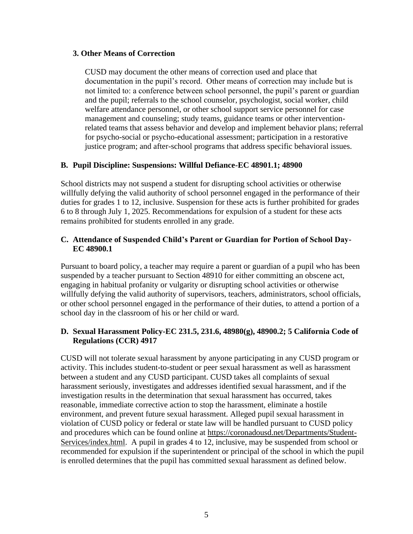#### **3. Other Means of Correction**

CUSD may document the other means of correction used and place that documentation in the pupil's record. Other means of correction may include but is not limited to: a conference between school personnel, the pupil's parent or guardian and the pupil; referrals to the school counselor, psychologist, social worker, child welfare attendance personnel, or other school support service personnel for case management and counseling; study teams, guidance teams or other interventionrelated teams that assess behavior and develop and implement behavior plans; referral for psycho-social or psycho-educational assessment; participation in a restorative justice program; and after-school programs that address specific behavioral issues.

#### **B. Pupil Discipline: Suspensions: Willful Defiance-EC 48901.1; 48900**

School districts may not suspend a student for disrupting school activities or otherwise willfully defying the valid authority of school personnel engaged in the performance of their duties for grades 1 to 12, inclusive. Suspension for these acts is further prohibited for grades 6 to 8 through July 1, 2025. Recommendations for expulsion of a student for these acts remains prohibited for students enrolled in any grade.

#### **C. Attendance of Suspended Child's Parent or Guardian for Portion of School Day-EC 48900.1**

Pursuant to board policy, a teacher may require a parent or guardian of a pupil who has been suspended by a teacher pursuant to Section 48910 for either committing an obscene act, engaging in habitual profanity or vulgarity or disrupting school activities or otherwise willfully defying the valid authority of supervisors, teachers, administrators, school officials, or other school personnel engaged in the performance of their duties, to attend a portion of a school day in the classroom of his or her child or ward.

## **D. Sexual Harassment Policy-EC 231.5, 231.6, 48980(g), 48900.2; 5 California Code of Regulations (CCR) 4917**

CUSD will not tolerate sexual harassment by anyone participating in any CUSD program or activity. This includes student-to-student or peer sexual harassment as well as harassment between a student and any CUSD participant. CUSD takes all complaints of sexual harassment seriously, investigates and addresses identified sexual harassment, and if the investigation results in the determination that sexual harassment has occurred, takes reasonable, immediate corrective action to stop the harassment, eliminate a hostile environment, and prevent future sexual harassment. Alleged pupil sexual harassment in violation of CUSD policy or federal or state law will be handled pursuant to CUSD policy and procedures which can be found online at [https://coronadousd.net/Departments/Student-](https://coronadousd.net/Departments/Student-Services/index.html)[Services/index.html.](https://coronadousd.net/Departments/Student-Services/index.html) A pupil in grades 4 to 12, inclusive, may be suspended from school or recommended for expulsion if the superintendent or principal of the school in which the pupil is enrolled determines that the pupil has committed sexual harassment as defined below.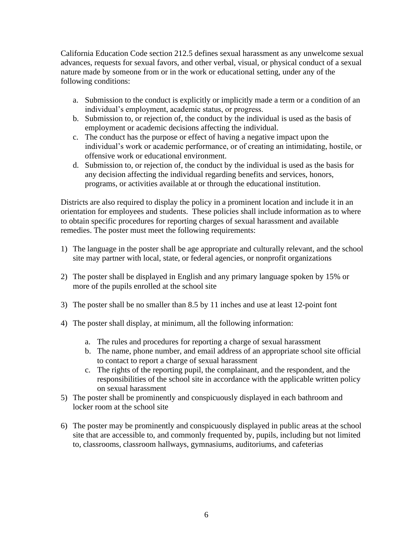California Education Code section 212.5 defines sexual harassment as any unwelcome sexual advances, requests for sexual favors, and other verbal, visual, or physical conduct of a sexual nature made by someone from or in the work or educational setting, under any of the following conditions:

- a. Submission to the conduct is explicitly or implicitly made a term or a condition of an individual's employment, academic status, or progress.
- b. Submission to, or rejection of, the conduct by the individual is used as the basis of employment or academic decisions affecting the individual.
- c. The conduct has the purpose or effect of having a negative impact upon the individual's work or academic performance, or of creating an intimidating, hostile, or offensive work or educational environment.
- d. Submission to, or rejection of, the conduct by the individual is used as the basis for any decision affecting the individual regarding benefits and services, honors, programs, or activities available at or through the educational institution.

Districts are also required to display the policy in a prominent location and include it in an orientation for employees and students. These policies shall include information as to where to obtain specific procedures for reporting charges of sexual harassment and available remedies. The poster must meet the following requirements:

- 1) The language in the poster shall be age appropriate and culturally relevant, and the school site may partner with local, state, or federal agencies, or nonprofit organizations
- 2) The poster shall be displayed in English and any primary language spoken by 15% or more of the pupils enrolled at the school site
- 3) The poster shall be no smaller than 8.5 by 11 inches and use at least 12-point font
- 4) The poster shall display, at minimum, all the following information:
	- a. The rules and procedures for reporting a charge of sexual harassment
	- b. The name, phone number, and email address of an appropriate school site official to contact to report a charge of sexual harassment
	- c. The rights of the reporting pupil, the complainant, and the respondent, and the responsibilities of the school site in accordance with the applicable written policy on sexual harassment
- 5) The poster shall be prominently and conspicuously displayed in each bathroom and locker room at the school site
- 6) The poster may be prominently and conspicuously displayed in public areas at the school site that are accessible to, and commonly frequented by, pupils, including but not limited to, classrooms, classroom hallways, gymnasiums, auditoriums, and cafeterias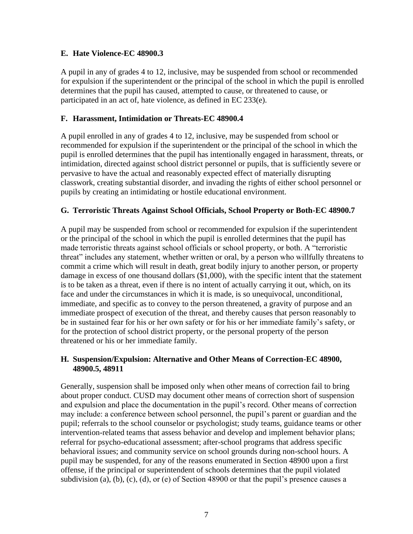#### **E. Hate Violence-EC 48900.3**

A pupil in any of grades 4 to 12, inclusive, may be suspended from school or recommended for expulsion if the superintendent or the principal of the school in which the pupil is enrolled determines that the pupil has caused, attempted to cause, or threatened to cause, or participated in an act of, hate violence, as defined in EC 233(e).

#### **F. Harassment, Intimidation or Threats-EC 48900.4**

A pupil enrolled in any of grades 4 to 12, inclusive, may be suspended from school or recommended for expulsion if the superintendent or the principal of the school in which the pupil is enrolled determines that the pupil has intentionally engaged in harassment, threats, or intimidation, directed against school district personnel or pupils, that is sufficiently severe or pervasive to have the actual and reasonably expected effect of materially disrupting classwork, creating substantial disorder, and invading the rights of either school personnel or pupils by creating an intimidating or hostile educational environment.

#### **G. Terroristic Threats Against School Officials, School Property or Both-EC 48900.7**

A pupil may be suspended from school or recommended for expulsion if the superintendent or the principal of the school in which the pupil is enrolled determines that the pupil has made terroristic threats against school officials or school property, or both. A "terroristic threat" includes any statement, whether written or oral, by a person who willfully threatens to commit a crime which will result in death, great bodily injury to another person, or property damage in excess of one thousand dollars (\$1,000), with the specific intent that the statement is to be taken as a threat, even if there is no intent of actually carrying it out, which, on its face and under the circumstances in which it is made, is so unequivocal, unconditional, immediate, and specific as to convey to the person threatened, a gravity of purpose and an immediate prospect of execution of the threat, and thereby causes that person reasonably to be in sustained fear for his or her own safety or for his or her immediate family's safety, or for the protection of school district property, or the personal property of the person threatened or his or her immediate family.

#### **H. Suspension/Expulsion: Alternative and Other Means of Correction-EC 48900, 48900.5, 48911**

Generally, suspension shall be imposed only when other means of correction fail to bring about proper conduct. CUSD may document other means of correction short of suspension and expulsion and place the documentation in the pupil's record. Other means of correction may include: a conference between school personnel, the pupil's parent or guardian and the pupil; referrals to the school counselor or psychologist; study teams, guidance teams or other intervention-related teams that assess behavior and develop and implement behavior plans; referral for psycho-educational assessment; after-school programs that address specific behavioral issues; and community service on school grounds during non-school hours. A pupil may be suspended, for any of the reasons enumerated in Section 48900 upon a first offense, if the principal or superintendent of schools determines that the pupil violated subdivision (a), (b), (c), (d), or (e) of Section 48900 or that the pupil's presence causes a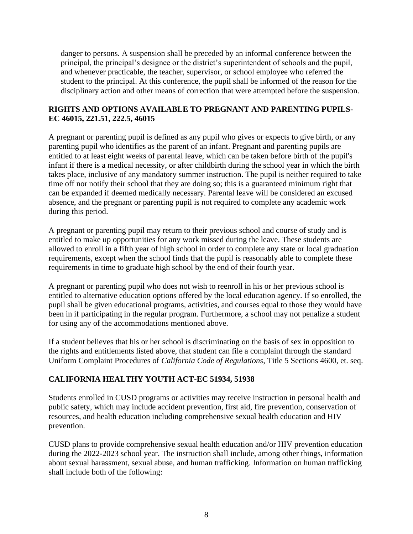danger to persons. A suspension shall be preceded by an informal conference between the principal, the principal's designee or the district's superintendent of schools and the pupil, and whenever practicable, the teacher, supervisor, or school employee who referred the student to the principal. At this conference, the pupil shall be informed of the reason for the disciplinary action and other means of correction that were attempted before the suspension.

## **RIGHTS AND OPTIONS AVAILABLE TO PREGNANT AND PARENTING PUPILS-EC 46015, 221.51, 222.5, 46015**

A pregnant or parenting pupil is defined as any pupil who gives or expects to give birth, or any parenting pupil who identifies as the parent of an infant. Pregnant and parenting pupils are entitled to at least eight weeks of parental leave, which can be taken before birth of the pupil's infant if there is a medical necessity, or after childbirth during the school year in which the birth takes place, inclusive of any mandatory summer instruction. The pupil is neither required to take time off nor notify their school that they are doing so; this is a guaranteed minimum right that can be expanded if deemed medically necessary. Parental leave will be considered an excused absence, and the pregnant or parenting pupil is not required to complete any academic work during this period.

A pregnant or parenting pupil may return to their previous school and course of study and is entitled to make up opportunities for any work missed during the leave. These students are allowed to enroll in a fifth year of high school in order to complete any state or local graduation requirements, except when the school finds that the pupil is reasonably able to complete these requirements in time to graduate high school by the end of their fourth year.

A pregnant or parenting pupil who does not wish to reenroll in his or her previous school is entitled to alternative education options offered by the local education agency. If so enrolled, the pupil shall be given educational programs, activities, and courses equal to those they would have been in if participating in the regular program. Furthermore, a school may not penalize a student for using any of the accommodations mentioned above.

If a student believes that his or her school is discriminating on the basis of sex in opposition to the rights and entitlements listed above, that student can file a complaint through the standard Uniform Complaint Procedures of *California Code of Regulations*, Title 5 Sections 4600, et. seq.

## **CALIFORNIA HEALTHY YOUTH ACT-EC 51934, 51938**

Students enrolled in CUSD programs or activities may receive instruction in personal health and public safety, which may include accident prevention, first aid, fire prevention, conservation of resources, and health education including comprehensive sexual health education and HIV prevention.

CUSD plans to provide comprehensive sexual health education and/or HIV prevention education during the 2022-2023 school year. The instruction shall include, among other things, information about sexual harassment, sexual abuse, and human trafficking. Information on human trafficking shall include both of the following: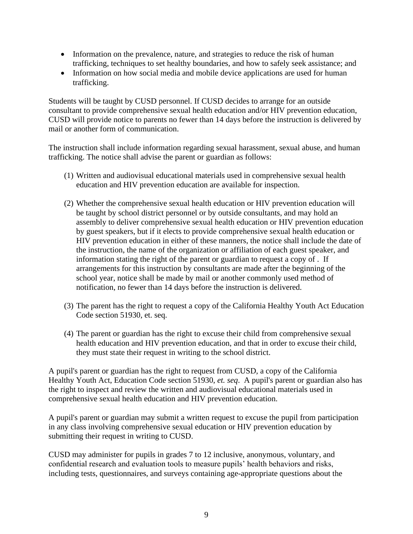- Information on the prevalence, nature, and strategies to reduce the risk of human trafficking, techniques to set healthy boundaries, and how to safely seek assistance; and
- Information on how social media and mobile device applications are used for human trafficking.

Students will be taught by CUSD personnel. If CUSD decides to arrange for an outside consultant to provide comprehensive sexual health education and/or HIV prevention education, CUSD will provide notice to parents no fewer than 14 days before the instruction is delivered by mail or another form of communication.

The instruction shall include information regarding sexual harassment, sexual abuse, and human trafficking. The notice shall advise the parent or guardian as follows:

- (1) Written and audiovisual educational materials used in comprehensive sexual health education and HIV prevention education are available for inspection.
- (2) Whether the comprehensive sexual health education or HIV prevention education will be taught by school district personnel or by outside consultants, and may hold an assembly to deliver comprehensive sexual health education or HIV prevention education by guest speakers, but if it elects to provide comprehensive sexual health education or HIV prevention education in either of these manners, the notice shall include the date of the instruction, the name of the organization or affiliation of each guest speaker, and information stating the right of the parent or guardian to request a copy of . If arrangements for this instruction by consultants are made after the beginning of the school year, notice shall be made by mail or another commonly used method of notification, no fewer than 14 days before the instruction is delivered.
- (3) The parent has the right to request a copy of the California Healthy Youth Act Education Code section 51930, et. seq.
- (4) The parent or guardian has the right to excuse their child from comprehensive sexual health education and HIV prevention education, and that in order to excuse their child, they must state their request in writing to the school district.

A pupil's parent or guardian has the right to request from CUSD, a copy of the California Healthy Youth Act, Education Code section 51930, *et. seq*. A pupil's parent or guardian also has the right to inspect and review the written and audiovisual educational materials used in comprehensive sexual health education and HIV prevention education.

A pupil's parent or guardian may submit a written request to excuse the pupil from participation in any class involving comprehensive sexual education or HIV prevention education by submitting their request in writing to CUSD.

CUSD may administer for pupils in grades 7 to 12 inclusive, anonymous, voluntary, and confidential research and evaluation tools to measure pupils' health behaviors and risks, including tests, questionnaires, and surveys containing age-appropriate questions about the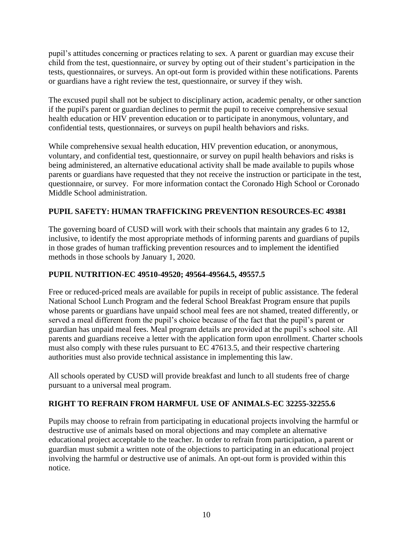pupil's attitudes concerning or practices relating to sex. A parent or guardian may excuse their child from the test, questionnaire, or survey by opting out of their student's participation in the tests, questionnaires, or surveys. An opt-out form is provided within these notifications. Parents or guardians have a right review the test, questionnaire, or survey if they wish.

The excused pupil shall not be subject to disciplinary action, academic penalty, or other sanction if the pupil's parent or guardian declines to permit the pupil to receive comprehensive sexual health education or HIV prevention education or to participate in anonymous, voluntary, and confidential tests, questionnaires, or surveys on pupil health behaviors and risks.

While comprehensive sexual health education, HIV prevention education, or anonymous, voluntary, and confidential test, questionnaire, or survey on pupil health behaviors and risks is being administered, an alternative educational activity shall be made available to pupils whose parents or guardians have requested that they not receive the instruction or participate in the test, questionnaire, or survey. For more information contact the Coronado High School or Coronado Middle School administration.

## **PUPIL SAFETY: HUMAN TRAFFICKING PREVENTION RESOURCES-EC 49381**

The governing board of CUSD will work with their schools that maintain any grades 6 to 12, inclusive, to identify the most appropriate methods of informing parents and guardians of pupils in those grades of human trafficking prevention resources and to implement the identified methods in those schools by January 1, 2020.

## **PUPIL NUTRITION-EC 49510-49520; 49564-49564.5, 49557.5**

Free or reduced-priced meals are available for pupils in receipt of public assistance. The federal National School Lunch Program and the federal School Breakfast Program ensure that pupils whose parents or guardians have unpaid school meal fees are not shamed, treated differently, or served a meal different from the pupil's choice because of the fact that the pupil's parent or guardian has unpaid meal fees. Meal program details are provided at the pupil's school site. All parents and guardians receive a letter with the application form upon enrollment. Charter schools must also comply with these rules pursuant to EC 47613.5, and their respective chartering authorities must also provide technical assistance in implementing this law.

All schools operated by CUSD will provide breakfast and lunch to all students free of charge pursuant to a universal meal program.

## **RIGHT TO REFRAIN FROM HARMFUL USE OF ANIMALS-EC 32255-32255.6**

Pupils may choose to refrain from participating in educational projects involving the harmful or destructive use of animals based on moral objections and may complete an alternative educational project acceptable to the teacher. In order to refrain from participation, a parent or guardian must submit a written note of the objections to participating in an educational project involving the harmful or destructive use of animals. An opt-out form is provided within this notice.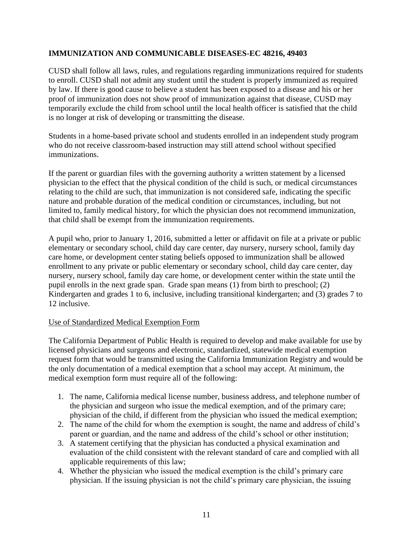## **IMMUNIZATION AND COMMUNICABLE DISEASES-EC 48216, 49403**

CUSD shall follow all laws, rules, and regulations regarding immunizations required for students to enroll. CUSD shall not admit any student until the student is properly immunized as required by law. If there is good cause to believe a student has been exposed to a disease and his or her proof of immunization does not show proof of immunization against that disease, CUSD may temporarily exclude the child from school until the local health officer is satisfied that the child is no longer at risk of developing or transmitting the disease.

Students in a home-based private school and students enrolled in an independent study program who do not receive classroom-based instruction may still attend school without specified immunizations.

If the parent or guardian files with the governing authority a written statement by a licensed physician to the effect that the physical condition of the child is such, or medical circumstances relating to the child are such, that immunization is not considered safe, indicating the specific nature and probable duration of the medical condition or circumstances, including, but not limited to, family medical history, for which the physician does not recommend immunization, that child shall be exempt from the immunization requirements.

A pupil who, prior to January 1, 2016, submitted a letter or affidavit on file at a private or public elementary or secondary school, child day care center, day nursery, nursery school, family day care home, or development center stating beliefs opposed to immunization shall be allowed enrollment to any private or public elementary or secondary school, child day care center, day nursery, nursery school, family day care home, or development center within the state until the pupil enrolls in the next grade span. Grade span means (1) from birth to preschool; (2) Kindergarten and grades 1 to 6, inclusive, including transitional kindergarten; and (3) grades 7 to 12 inclusive.

## Use of Standardized Medical Exemption Form

The California Department of Public Health is required to develop and make available for use by licensed physicians and surgeons and electronic, standardized, statewide medical exemption request form that would be transmitted using the California Immunization Registry and would be the only documentation of a medical exemption that a school may accept. At minimum, the medical exemption form must require all of the following:

- 1. The name, California medical license number, business address, and telephone number of the physician and surgeon who issue the medical exemption, and of the primary care; physician of the child, if different from the physician who issued the medical exemption;
- 2. The name of the child for whom the exemption is sought, the name and address of child's parent or guardian, and the name and address of the child's school or other institution;
- 3. A statement certifying that the physician has conducted a physical examination and evaluation of the child consistent with the relevant standard of care and complied with all applicable requirements of this law;
- 4. Whether the physician who issued the medical exemption is the child's primary care physician. If the issuing physician is not the child's primary care physician, the issuing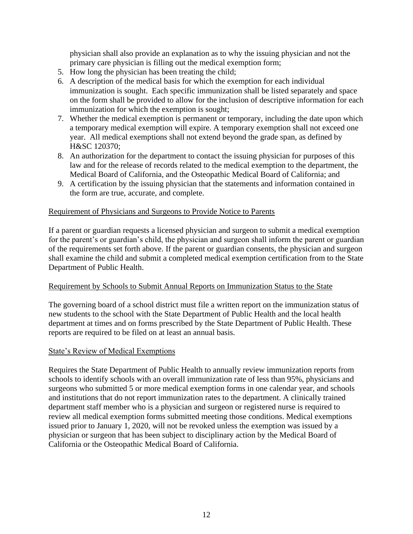physician shall also provide an explanation as to why the issuing physician and not the primary care physician is filling out the medical exemption form;

- 5. How long the physician has been treating the child;
- 6. A description of the medical basis for which the exemption for each individual immunization is sought. Each specific immunization shall be listed separately and space on the form shall be provided to allow for the inclusion of descriptive information for each immunization for which the exemption is sought;
- 7. Whether the medical exemption is permanent or temporary, including the date upon which a temporary medical exemption will expire. A temporary exemption shall not exceed one year. All medical exemptions shall not extend beyond the grade span, as defined by H&SC 120370;
- 8. An authorization for the department to contact the issuing physician for purposes of this law and for the release of records related to the medical exemption to the department, the Medical Board of California, and the Osteopathic Medical Board of California; and
- 9. A certification by the issuing physician that the statements and information contained in the form are true, accurate, and complete.

#### Requirement of Physicians and Surgeons to Provide Notice to Parents

If a parent or guardian requests a licensed physician and surgeon to submit a medical exemption for the parent's or guardian's child, the physician and surgeon shall inform the parent or guardian of the requirements set forth above. If the parent or guardian consents, the physician and surgeon shall examine the child and submit a completed medical exemption certification from to the State Department of Public Health.

#### Requirement by Schools to Submit Annual Reports on Immunization Status to the State

The governing board of a school district must file a written report on the immunization status of new students to the school with the State Department of Public Health and the local health department at times and on forms prescribed by the State Department of Public Health. These reports are required to be filed on at least an annual basis.

#### State's Review of Medical Exemptions

Requires the State Department of Public Health to annually review immunization reports from schools to identify schools with an overall immunization rate of less than 95%, physicians and surgeons who submitted 5 or more medical exemption forms in one calendar year, and schools and institutions that do not report immunization rates to the department. A clinically trained department staff member who is a physician and surgeon or registered nurse is required to review all medical exemption forms submitted meeting those conditions. Medical exemptions issued prior to January 1, 2020, will not be revoked unless the exemption was issued by a physician or surgeon that has been subject to disciplinary action by the Medical Board of California or the Osteopathic Medical Board of California.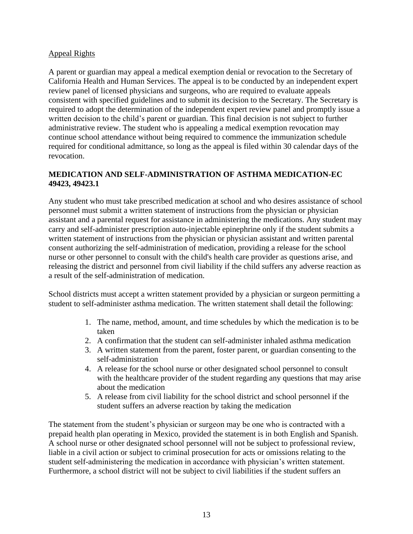#### Appeal Rights

A parent or guardian may appeal a medical exemption denial or revocation to the Secretary of California Health and Human Services. The appeal is to be conducted by an independent expert review panel of licensed physicians and surgeons, who are required to evaluate appeals consistent with specified guidelines and to submit its decision to the Secretary. The Secretary is required to adopt the determination of the independent expert review panel and promptly issue a written decision to the child's parent or guardian. This final decision is not subject to further administrative review. The student who is appealing a medical exemption revocation may continue school attendance without being required to commence the immunization schedule required for conditional admittance, so long as the appeal is filed within 30 calendar days of the revocation.

## **MEDICATION AND SELF-ADMINISTRATION OF ASTHMA MEDICATION-EC 49423, 49423.1**

Any student who must take prescribed medication at school and who desires assistance of school personnel must submit a written statement of instructions from the physician or physician assistant and a parental request for assistance in administering the medications. Any student may carry and self-administer prescription auto-injectable epinephrine only if the student submits a written statement of instructions from the physician or physician assistant and written parental consent authorizing the self-administration of medication, providing a release for the school nurse or other personnel to consult with the child's health care provider as questions arise, and releasing the district and personnel from civil liability if the child suffers any adverse reaction as a result of the self-administration of medication.

School districts must accept a written statement provided by a physician or surgeon permitting a student to self-administer asthma medication. The written statement shall detail the following:

- 1. The name, method, amount, and time schedules by which the medication is to be taken
- 2. A confirmation that the student can self-administer inhaled asthma medication
- 3. A written statement from the parent, foster parent, or guardian consenting to the self-administration
- 4. A release for the school nurse or other designated school personnel to consult with the healthcare provider of the student regarding any questions that may arise about the medication
- 5. A release from civil liability for the school district and school personnel if the student suffers an adverse reaction by taking the medication

The statement from the student's physician or surgeon may be one who is contracted with a prepaid health plan operating in Mexico, provided the statement is in both English and Spanish. A school nurse or other designated school personnel will not be subject to professional review, liable in a civil action or subject to criminal prosecution for acts or omissions relating to the student self-administering the medication in accordance with physician's written statement. Furthermore, a school district will not be subject to civil liabilities if the student suffers an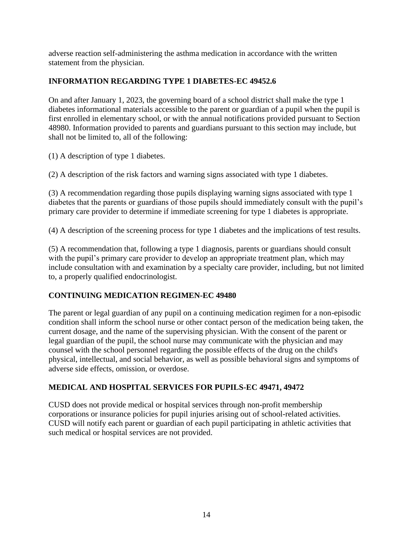adverse reaction self-administering the asthma medication in accordance with the written statement from the physician.

## **INFORMATION REGARDING TYPE 1 DIABETES-EC 49452.6**

On and after January 1, 2023, the governing board of a school district shall make the type 1 diabetes informational materials accessible to the parent or guardian of a pupil when the pupil is first enrolled in elementary school, or with the annual notifications provided pursuant to Section 48980. Information provided to parents and guardians pursuant to this section may include, but shall not be limited to, all of the following:

(1) A description of type 1 diabetes.

(2) A description of the risk factors and warning signs associated with type 1 diabetes.

(3) A recommendation regarding those pupils displaying warning signs associated with type 1 diabetes that the parents or guardians of those pupils should immediately consult with the pupil's primary care provider to determine if immediate screening for type 1 diabetes is appropriate.

(4) A description of the screening process for type 1 diabetes and the implications of test results.

(5) A recommendation that, following a type 1 diagnosis, parents or guardians should consult with the pupil's primary care provider to develop an appropriate treatment plan, which may include consultation with and examination by a specialty care provider, including, but not limited to, a properly qualified endocrinologist.

## **CONTINUING MEDICATION REGIMEN-EC 49480**

The parent or legal guardian of any pupil on a continuing medication regimen for a non-episodic condition shall inform the school nurse or other contact person of the medication being taken, the current dosage, and the name of the supervising physician. With the consent of the parent or legal guardian of the pupil, the school nurse may communicate with the physician and may counsel with the school personnel regarding the possible effects of the drug on the child's physical, intellectual, and social behavior, as well as possible behavioral signs and symptoms of adverse side effects, omission, or overdose.

## **MEDICAL AND HOSPITAL SERVICES FOR PUPILS-EC 49471, 49472**

CUSD does not provide medical or hospital services through non-profit membership corporations or insurance policies for pupil injuries arising out of school-related activities. CUSD will notify each parent or guardian of each pupil participating in athletic activities that such medical or hospital services are not provided.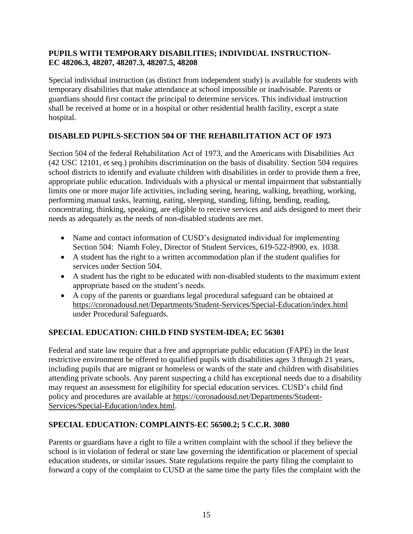## **PUPILS WITH TEMPORARY DISABILITIES; INDIVIDUAL INSTRUCTION-EC 48206.3, 48207, 48207.3, 48207.5, 48208**

Special individual instruction (as distinct from independent study) is available for students with temporary disabilities that make attendance at school impossible or inadvisable. Parents or guardians should first contact the principal to determine services. This individual instruction shall be received at home or in a hospital or other residential health facility, except a state hospital.

## **DISABLED PUPILS-SECTION 504 OF THE REHABILITATION ACT OF 1973**

Section 504 of the federal Rehabilitation Act of 1973, and the Americans with Disabilities Act (42 USC 12101, et seq.) prohibits discrimination on the basis of disability. Section 504 requires school districts to identify and evaluate children with disabilities in order to provide them a free, appropriate public education. Individuals with a physical or mental impairment that substantially limits one or more major life activities, including seeing, hearing, walking, breathing, working, performing manual tasks, learning, eating, sleeping, standing, lifting, bending, reading, concentrating, thinking, speaking, are eligible to receive services and aids designed to meet their needs as adequately as the needs of non-disabled students are met.

- Name and contact information of CUSD's designated individual for implementing Section 504: Niamh Foley, Director of Student Services, 619-522-8900, ex. 1038.
- A student has the right to a written accommodation plan if the student qualifies for services under Section 504.
- A student has the right to be educated with non-disabled students to the maximum extent appropriate based on the student's needs.
- A copy of the parents or guardians legal procedural safeguard can be obtained at <https://coronadousd.net/Departments/Student-Services/Special-Education/index.html> under Procedural Safeguards.

## **SPECIAL EDUCATION: CHILD FIND SYSTEM-IDEA; EC 56301**

Federal and state law require that a free and appropriate public education (FAPE) in the least restrictive environment be offered to qualified pupils with disabilities ages 3 through 21 years, including pupils that are migrant or homeless or wards of the state and children with disabilities attending private schools. Any parent suspecting a child has exceptional needs due to a disability may request an assessment for eligibility for special education services. CUSD's child find policy and procedures are available at [https://coronadousd.net/Departments/Student-](https://coronadousd.net/Departments/Student-Services/Special-Education/index.html)[Services/Special-Education/index.html.](https://coronadousd.net/Departments/Student-Services/Special-Education/index.html)

## **SPECIAL EDUCATION: COMPLAINTS-EC 56500.2; 5 C.C.R. 3080**

Parents or guardians have a right to file a written complaint with the school if they believe the school is in violation of federal or state law governing the identification or placement of special education students, or similar issues. State regulations require the party filing the complaint to forward a copy of the complaint to CUSD at the same time the party files the complaint with the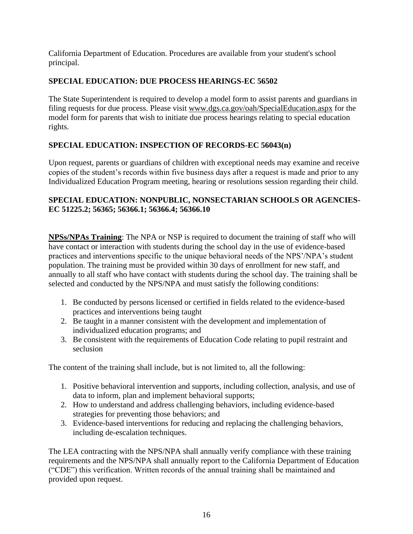California Department of Education. Procedures are available from your student's school principal.

## **SPECIAL EDUCATION: DUE PROCESS HEARINGS-EC 56502**

The State Superintendent is required to develop a model form to assist parents and guardians in filing requests for due process. Please visit [www.dgs.ca.gov/oah/SpecialEducation.aspx](http://www.dgs.ca.gov/oah/SpecialEducation.aspx) for the model form for parents that wish to initiate due process hearings relating to special education rights.

## **SPECIAL EDUCATION: INSPECTION OF RECORDS-EC 56043(n)**

Upon request, parents or guardians of children with exceptional needs may examine and receive copies of the student's records within five business days after a request is made and prior to any Individualized Education Program meeting, hearing or resolutions session regarding their child.

## **SPECIAL EDUCATION: NONPUBLIC, NONSECTARIAN SCHOOLS OR AGENCIES-EC 51225.2; 56365; 56366.1; 56366.4; 56366.10**

**NPSs/NPAs Training**: The NPA or NSP is required to document the training of staff who will have contact or interaction with students during the school day in the use of evidence-based practices and interventions specific to the unique behavioral needs of the NPS'/NPA's student population. The training must be provided within 30 days of enrollment for new staff, and annually to all staff who have contact with students during the school day. The training shall be selected and conducted by the NPS/NPA and must satisfy the following conditions:

- 1. Be conducted by persons licensed or certified in fields related to the evidence-based practices and interventions being taught
- 2. Be taught in a manner consistent with the development and implementation of individualized education programs; and
- 3. Be consistent with the requirements of Education Code relating to pupil restraint and seclusion

The content of the training shall include, but is not limited to, all the following:

- 1. Positive behavioral intervention and supports, including collection, analysis, and use of data to inform, plan and implement behavioral supports;
- 2. How to understand and address challenging behaviors, including evidence-based strategies for preventing those behaviors; and
- 3. Evidence-based interventions for reducing and replacing the challenging behaviors, including de-escalation techniques.

The LEA contracting with the NPS/NPA shall annually verify compliance with these training requirements and the NPS/NPA shall annually report to the California Department of Education ("CDE") this verification. Written records of the annual training shall be maintained and provided upon request.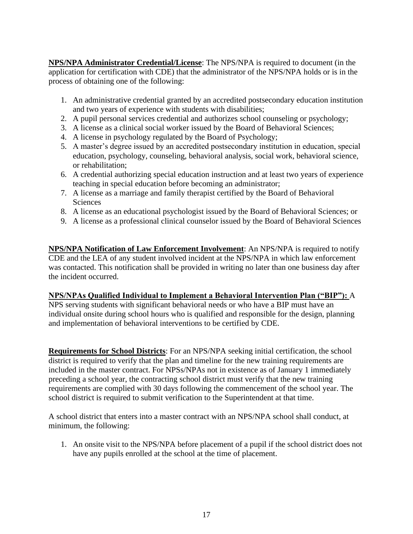**NPS/NPA Administrator Credential/License**: The NPS/NPA is required to document (in the application for certification with CDE) that the administrator of the NPS/NPA holds or is in the process of obtaining one of the following:

- 1. An administrative credential granted by an accredited postsecondary education institution and two years of experience with students with disabilities;
- 2. A pupil personal services credential and authorizes school counseling or psychology;
- 3. A license as a clinical social worker issued by the Board of Behavioral Sciences;
- 4. A license in psychology regulated by the Board of Psychology;
- 5. A master's degree issued by an accredited postsecondary institution in education, special education, psychology, counseling, behavioral analysis, social work, behavioral science, or rehabilitation;
- 6. A credential authorizing special education instruction and at least two years of experience teaching in special education before becoming an administrator;
- 7. A license as a marriage and family therapist certified by the Board of Behavioral **Sciences**
- 8. A license as an educational psychologist issued by the Board of Behavioral Sciences; or
- 9. A license as a professional clinical counselor issued by the Board of Behavioral Sciences

**NPS/NPA Notification of Law Enforcement Involvement**: An NPS/NPA is required to notify CDE and the LEA of any student involved incident at the NPS/NPA in which law enforcement was contacted. This notification shall be provided in writing no later than one business day after the incident occurred.

## **NPS/NPAs Qualified Individual to Implement a Behavioral Intervention Plan ("BIP"):** A

NPS serving students with significant behavioral needs or who have a BIP must have an individual onsite during school hours who is qualified and responsible for the design, planning and implementation of behavioral interventions to be certified by CDE.

**Requirements for School Districts**: For an NPS/NPA seeking initial certification, the school district is required to verify that the plan and timeline for the new training requirements are included in the master contract. For NPSs/NPAs not in existence as of January 1 immediately preceding a school year, the contracting school district must verify that the new training requirements are complied with 30 days following the commencement of the school year. The school district is required to submit verification to the Superintendent at that time.

A school district that enters into a master contract with an NPS/NPA school shall conduct, at minimum, the following:

1. An onsite visit to the NPS/NPA before placement of a pupil if the school district does not have any pupils enrolled at the school at the time of placement.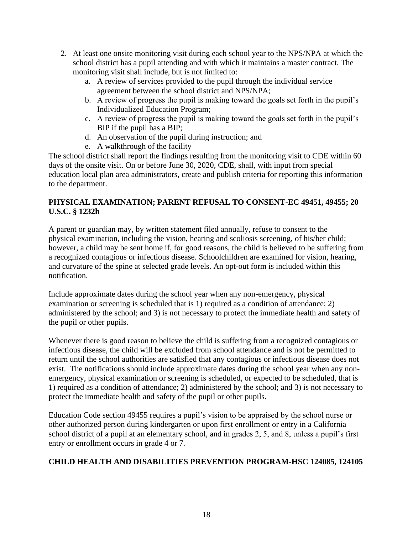- 2. At least one onsite monitoring visit during each school year to the NPS/NPA at which the school district has a pupil attending and with which it maintains a master contract. The monitoring visit shall include, but is not limited to:
	- a. A review of services provided to the pupil through the individual service agreement between the school district and NPS/NPA;
	- b. A review of progress the pupil is making toward the goals set forth in the pupil's Individualized Education Program;
	- c. A review of progress the pupil is making toward the goals set forth in the pupil's BIP if the pupil has a BIP;
	- d. An observation of the pupil during instruction; and
	- e. A walkthrough of the facility

The school district shall report the findings resulting from the monitoring visit to CDE within 60 days of the onsite visit. On or before June 30, 2020, CDE, shall, with input from special education local plan area administrators, create and publish criteria for reporting this information to the department.

## **PHYSICAL EXAMINATION; PARENT REFUSAL TO CONSENT-EC 49451, 49455; 20 U.S.C. § 1232h**

A parent or guardian may, by written statement filed annually, refuse to consent to the physical examination, including the vision, hearing and scoliosis screening, of his/her child; however, a child may be sent home if, for good reasons, the child is believed to be suffering from a recognized contagious or infectious disease. Schoolchildren are examined for vision, hearing, and curvature of the spine at selected grade levels. An opt-out form is included within this notification.

Include approximate dates during the school year when any non-emergency, physical examination or screening is scheduled that is 1) required as a condition of attendance; 2) administered by the school; and 3) is not necessary to protect the immediate health and safety of the pupil or other pupils.

Whenever there is good reason to believe the child is suffering from a recognized contagious or infectious disease, the child will be excluded from school attendance and is not be permitted to return until the school authorities are satisfied that any contagious or infectious disease does not exist. The notifications should include approximate dates during the school year when any nonemergency, physical examination or screening is scheduled, or expected to be scheduled, that is 1) required as a condition of attendance; 2) administered by the school; and 3) is not necessary to protect the immediate health and safety of the pupil or other pupils.

Education Code section 49455 requires a pupil's vision to be appraised by the school nurse or other authorized person during kindergarten or upon first enrollment or entry in a California school district of a pupil at an elementary school, and in grades 2, 5, and 8, unless a pupil's first entry or enrollment occurs in grade 4 or 7.

## **CHILD HEALTH AND DISABILITIES PREVENTION PROGRAM-HSC 124085, 124105**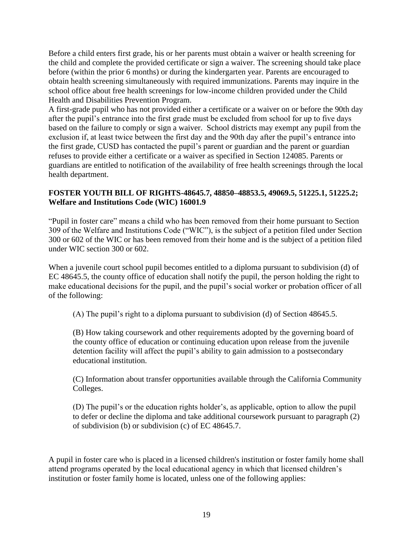Before a child enters first grade, his or her parents must obtain a waiver or health screening for the child and complete the provided certificate or sign a waiver. The screening should take place before (within the prior 6 months) or during the kindergarten year. Parents are encouraged to obtain health screening simultaneously with required immunizations. Parents may inquire in the school office about free health screenings for low-income children provided under the Child Health and Disabilities Prevention Program.

A first-grade pupil who has not provided either a certificate or a waiver on or before the 90th day after the pupil's entrance into the first grade must be excluded from school for up to five days based on the failure to comply or sign a waiver. School districts may exempt any pupil from the exclusion if, at least twice between the first day and the 90th day after the pupil's entrance into the first grade, CUSD has contacted the pupil's parent or guardian and the parent or guardian refuses to provide either a certificate or a waiver as specified in Section 124085. Parents or guardians are entitled to notification of the availability of free health screenings through the local health department.

#### **FOSTER YOUTH BILL OF RIGHTS-48645.7, 48850–48853.5, 49069.5, 51225.1, 51225.2; Welfare and Institutions Code (WIC) 16001.9**

"Pupil in foster care" means a child who has been removed from their home pursuant to Section 309 of the Welfare and Institutions Code ("WIC"), is the subject of a petition filed under Section 300 or 602 of the WIC or has been removed from their home and is the subject of a petition filed under WIC section 300 or 602.

When a juvenile court school pupil becomes entitled to a diploma pursuant to subdivision (d) of EC 48645.5, the county office of education shall notify the pupil, the person holding the right to make educational decisions for the pupil, and the pupil's social worker or probation officer of all of the following:

(A) The pupil's right to a diploma pursuant to subdivision (d) of Section 48645.5.

(B) How taking coursework and other requirements adopted by the governing board of the county office of education or continuing education upon release from the juvenile detention facility will affect the pupil's ability to gain admission to a postsecondary educational institution.

(C) Information about transfer opportunities available through the California Community Colleges.

(D) The pupil's or the education rights holder's, as applicable, option to allow the pupil to defer or decline the diploma and take additional coursework pursuant to paragraph (2) of subdivision (b) or subdivision (c) of EC 48645.7.

A pupil in foster care who is placed in a licensed children's institution or foster family home shall attend programs operated by the local educational agency in which that licensed children's institution or foster family home is located, unless one of the following applies: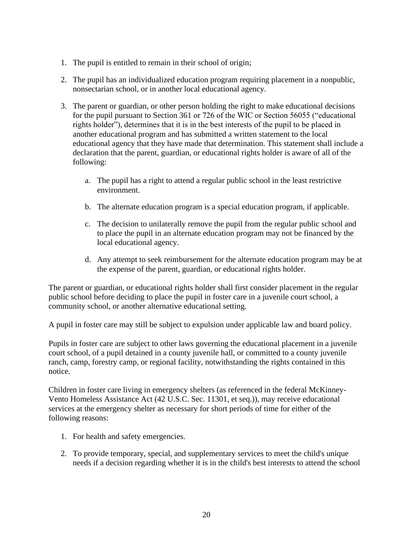- 1. The pupil is entitled to remain in their school of origin;
- 2. The pupil has an individualized education program requiring placement in a nonpublic, nonsectarian school, or in another local educational agency.
- 3. The parent or guardian, or other person holding the right to make educational decisions for the pupil pursuant to Section 361 or 726 of the WIC or Section 56055 ("educational rights holder"), determines that it is in the best interests of the pupil to be placed in another educational program and has submitted a written statement to the local educational agency that they have made that determination. This statement shall include a declaration that the parent, guardian, or educational rights holder is aware of all of the following:
	- a. The pupil has a right to attend a regular public school in the least restrictive environment.
	- b. The alternate education program is a special education program, if applicable.
	- c. The decision to unilaterally remove the pupil from the regular public school and to place the pupil in an alternate education program may not be financed by the local educational agency.
	- d. Any attempt to seek reimbursement for the alternate education program may be at the expense of the parent, guardian, or educational rights holder.

The parent or guardian, or educational rights holder shall first consider placement in the regular public school before deciding to place the pupil in foster care in a juvenile court school, a community school, or another alternative educational setting.

A pupil in foster care may still be subject to expulsion under applicable law and board policy.

Pupils in foster care are subject to other laws governing the educational placement in a juvenile court school, of a pupil detained in a county juvenile hall, or committed to a county juvenile ranch, camp, forestry camp, or regional facility, notwithstanding the rights contained in this notice.

Children in foster care living in emergency shelters (as referenced in the federal McKinney-Vento Homeless Assistance Act (42 U.S.C. Sec. 11301, et seq.)), may receive educational services at the emergency shelter as necessary for short periods of time for either of the following reasons:

- 1. For health and safety emergencies.
- 2. To provide temporary, special, and supplementary services to meet the child's unique needs if a decision regarding whether it is in the child's best interests to attend the school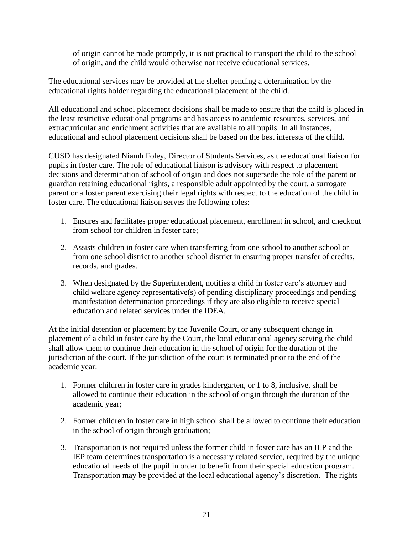of origin cannot be made promptly, it is not practical to transport the child to the school of origin, and the child would otherwise not receive educational services.

The educational services may be provided at the shelter pending a determination by the educational rights holder regarding the educational placement of the child.

All educational and school placement decisions shall be made to ensure that the child is placed in the least restrictive educational programs and has access to academic resources, services, and extracurricular and enrichment activities that are available to all pupils. In all instances, educational and school placement decisions shall be based on the best interests of the child.

CUSD has designated Niamh Foley, Director of Students Services, as the educational liaison for pupils in foster care. The role of educational liaison is advisory with respect to placement decisions and determination of school of origin and does not supersede the role of the parent or guardian retaining educational rights, a responsible adult appointed by the court, a surrogate parent or a foster parent exercising their legal rights with respect to the education of the child in foster care. The educational liaison serves the following roles:

- 1. Ensures and facilitates proper educational placement, enrollment in school, and checkout from school for children in foster care;
- 2. Assists children in foster care when transferring from one school to another school or from one school district to another school district in ensuring proper transfer of credits, records, and grades.
- 3. When designated by the Superintendent, notifies a child in foster care's attorney and child welfare agency representative(s) of pending disciplinary proceedings and pending manifestation determination proceedings if they are also eligible to receive special education and related services under the IDEA.

At the initial detention or placement by the Juvenile Court, or any subsequent change in placement of a child in foster care by the Court, the local educational agency serving the child shall allow them to continue their education in the school of origin for the duration of the jurisdiction of the court. If the jurisdiction of the court is terminated prior to the end of the academic year:

- 1. Former children in foster care in grades kindergarten, or 1 to 8, inclusive, shall be allowed to continue their education in the school of origin through the duration of the academic year;
- 2. Former children in foster care in high school shall be allowed to continue their education in the school of origin through graduation;
- 3. Transportation is not required unless the former child in foster care has an IEP and the IEP team determines transportation is a necessary related service, required by the unique educational needs of the pupil in order to benefit from their special education program. Transportation may be provided at the local educational agency's discretion. The rights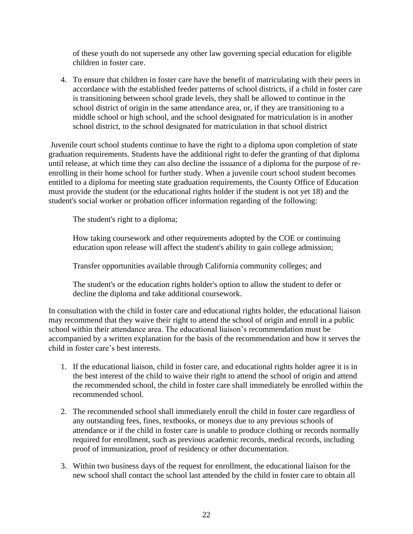of these youth do not supersede any other law governing special education for eligible children in foster care.

4. To ensure that children in foster care have the benefit of matriculating with their peers in accordance with the established feeder patterns of school districts, if a child in foster care is transitioning between school grade levels, they shall be allowed to continue in the school district of origin in the same attendance area, or, if they are transitioning to a middle school or high school, and the school designated for matriculation is in another school district, to the school designated for matriculation in that school district

Juvenile court school students continue to have the right to a diploma upon completion of state graduation requirements. Students have the additional right to defer the granting of that diploma until release, at which time they can also decline the issuance of a diploma for the purpose of reenrolling in their home school for further study. When a juvenile court school student becomes entitled to a diploma for meeting state graduation requirements, the County Office of Education must provide the student (or the educational rights holder if the student is not yet 18) and the student's social worker or probation officer information regarding of the following:

The student's right to a diploma;

How taking coursework and other requirements adopted by the COE or continuing education upon release will affect the student's ability to gain college admission;

Transfer opportunities available through California community colleges; and

The student's or the education rights holder's option to allow the student to defer or decline the diploma and take additional coursework.

In consultation with the child in foster care and educational rights holder, the educational liaison may recommend that they waive their right to attend the school of origin and enroll in a public school within their attendance area. The educational liaison's recommendation must be accompanied by a written explanation for the basis of the recommendation and how it serves the child in foster care's best interests.

- 1. If the educational liaison, child in foster care, and educational rights holder agree it is in the best interest of the child to waive their right to attend the school of origin and attend the recommended school, the child in foster care shall immediately be enrolled within the recommended school.
- 2. The recommended school shall immediately enroll the child in foster care regardless of any outstanding fees, fines, textbooks, or moneys due to any previous schools of attendance or if the child in foster care is unable to produce clothing or records normally required for enrollment, such as previous academic records, medical records, including proof of immunization, proof of residency or other documentation.
- 3. Within two business days of the request for enrollment, the educational liaison for the new school shall contact the school last attended by the child in foster care to obtain all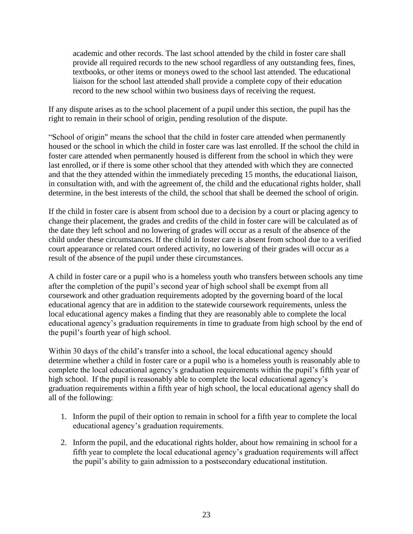academic and other records. The last school attended by the child in foster care shall provide all required records to the new school regardless of any outstanding fees, fines, textbooks, or other items or moneys owed to the school last attended. The educational liaison for the school last attended shall provide a complete copy of their education record to the new school within two business days of receiving the request.

If any dispute arises as to the school placement of a pupil under this section, the pupil has the right to remain in their school of origin, pending resolution of the dispute.

"School of origin" means the school that the child in foster care attended when permanently housed or the school in which the child in foster care was last enrolled. If the school the child in foster care attended when permanently housed is different from the school in which they were last enrolled, or if there is some other school that they attended with which they are connected and that the they attended within the immediately preceding 15 months, the educational liaison, in consultation with, and with the agreement of, the child and the educational rights holder, shall determine, in the best interests of the child, the school that shall be deemed the school of origin.

If the child in foster care is absent from school due to a decision by a court or placing agency to change their placement, the grades and credits of the child in foster care will be calculated as of the date they left school and no lowering of grades will occur as a result of the absence of the child under these circumstances. If the child in foster care is absent from school due to a verified court appearance or related court ordered activity, no lowering of their grades will occur as a result of the absence of the pupil under these circumstances.

A child in foster care or a pupil who is a homeless youth who transfers between schools any time after the completion of the pupil's second year of high school shall be exempt from all coursework and other graduation requirements adopted by the governing board of the local educational agency that are in addition to the statewide coursework requirements, unless the local educational agency makes a finding that they are reasonably able to complete the local educational agency's graduation requirements in time to graduate from high school by the end of the pupil's fourth year of high school.

Within 30 days of the child's transfer into a school, the local educational agency should determine whether a child in foster care or a pupil who is a homeless youth is reasonably able to complete the local educational agency's graduation requirements within the pupil's fifth year of high school. If the pupil is reasonably able to complete the local educational agency's graduation requirements within a fifth year of high school, the local educational agency shall do all of the following:

- 1. Inform the pupil of their option to remain in school for a fifth year to complete the local educational agency's graduation requirements.
- 2. Inform the pupil, and the educational rights holder, about how remaining in school for a fifth year to complete the local educational agency's graduation requirements will affect the pupil's ability to gain admission to a postsecondary educational institution.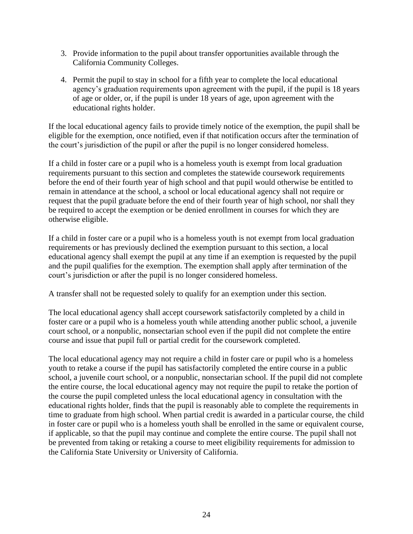- 3. Provide information to the pupil about transfer opportunities available through the California Community Colleges.
- 4. Permit the pupil to stay in school for a fifth year to complete the local educational agency's graduation requirements upon agreement with the pupil, if the pupil is 18 years of age or older, or, if the pupil is under 18 years of age, upon agreement with the educational rights holder.

If the local educational agency fails to provide timely notice of the exemption, the pupil shall be eligible for the exemption, once notified, even if that notification occurs after the termination of the court's jurisdiction of the pupil or after the pupil is no longer considered homeless.

If a child in foster care or a pupil who is a homeless youth is exempt from local graduation requirements pursuant to this section and completes the statewide coursework requirements before the end of their fourth year of high school and that pupil would otherwise be entitled to remain in attendance at the school, a school or local educational agency shall not require or request that the pupil graduate before the end of their fourth year of high school, nor shall they be required to accept the exemption or be denied enrollment in courses for which they are otherwise eligible.

If a child in foster care or a pupil who is a homeless youth is not exempt from local graduation requirements or has previously declined the exemption pursuant to this section, a local educational agency shall exempt the pupil at any time if an exemption is requested by the pupil and the pupil qualifies for the exemption. The exemption shall apply after termination of the court's jurisdiction or after the pupil is no longer considered homeless.

A transfer shall not be requested solely to qualify for an exemption under this section.

The local educational agency shall accept coursework satisfactorily completed by a child in foster care or a pupil who is a homeless youth while attending another public school, a juvenile court school, or a nonpublic, nonsectarian school even if the pupil did not complete the entire course and issue that pupil full or partial credit for the coursework completed.

The local educational agency may not require a child in foster care or pupil who is a homeless youth to retake a course if the pupil has satisfactorily completed the entire course in a public school, a juvenile court school, or a nonpublic, nonsectarian school. If the pupil did not complete the entire course, the local educational agency may not require the pupil to retake the portion of the course the pupil completed unless the local educational agency in consultation with the educational rights holder, finds that the pupil is reasonably able to complete the requirements in time to graduate from high school. When partial credit is awarded in a particular course, the child in foster care or pupil who is a homeless youth shall be enrolled in the same or equivalent course, if applicable, so that the pupil may continue and complete the entire course. The pupil shall not be prevented from taking or retaking a course to meet eligibility requirements for admission to the California State University or University of California.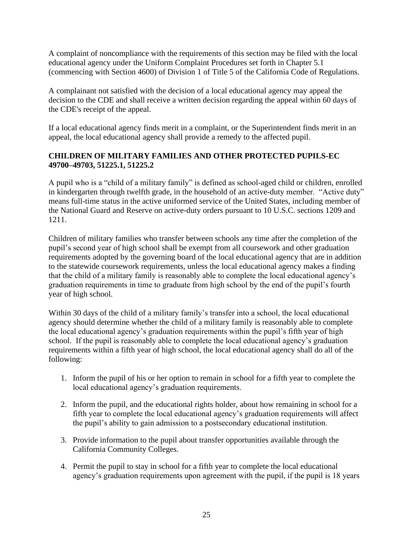A complaint of noncompliance with the requirements of this section may be filed with the local educational agency under the Uniform Complaint Procedures set forth in Chapter 5.1 (commencing with Section 4600) of Division 1 of Title 5 of the California Code of Regulations.

A complainant not satisfied with the decision of a local educational agency may appeal the decision to the CDE and shall receive a written decision regarding the appeal within 60 days of the CDE's receipt of the appeal.

If a local educational agency finds merit in a complaint, or the Superintendent finds merit in an appeal, the local educational agency shall provide a remedy to the affected pupil.

## **CHILDREN OF MILITARY FAMILIES AND OTHER PROTECTED PUPILS-EC 49700–49703, 51225.1, 51225.2**

A pupil who is a "child of a military family" is defined as school-aged child or children, enrolled in kindergarten through twelfth grade, in the household of an active-duty member. "Active duty" means full-time status in the active uniformed service of the United States, including member of the National Guard and Reserve on active-duty orders pursuant to 10 U.S.C. sections 1209 and 1211.

Children of military families who transfer between schools any time after the completion of the pupil's second year of high school shall be exempt from all coursework and other graduation requirements adopted by the governing board of the local educational agency that are in addition to the statewide coursework requirements, unless the local educational agency makes a finding that the child of a military family is reasonably able to complete the local educational agency's graduation requirements in time to graduate from high school by the end of the pupil's fourth year of high school.

Within 30 days of the child of a military family's transfer into a school, the local educational agency should determine whether the child of a military family is reasonably able to complete the local educational agency's graduation requirements within the pupil's fifth year of high school. If the pupil is reasonably able to complete the local educational agency's graduation requirements within a fifth year of high school, the local educational agency shall do all of the following:

- 1. Inform the pupil of his or her option to remain in school for a fifth year to complete the local educational agency's graduation requirements.
- 2. Inform the pupil, and the educational rights holder, about how remaining in school for a fifth year to complete the local educational agency's graduation requirements will affect the pupil's ability to gain admission to a postsecondary educational institution.
- 3. Provide information to the pupil about transfer opportunities available through the California Community Colleges.
- 4. Permit the pupil to stay in school for a fifth year to complete the local educational agency's graduation requirements upon agreement with the pupil, if the pupil is 18 years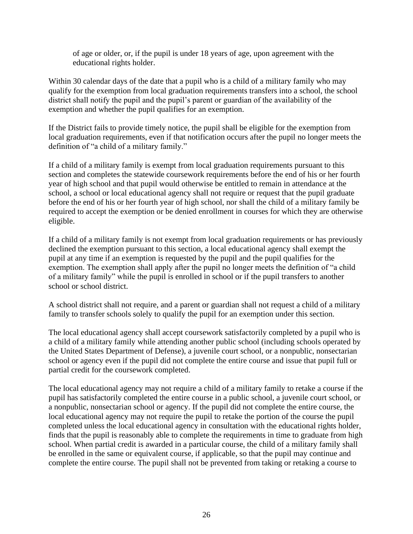of age or older, or, if the pupil is under 18 years of age, upon agreement with the educational rights holder.

Within 30 calendar days of the date that a pupil who is a child of a military family who may qualify for the exemption from local graduation requirements transfers into a school, the school district shall notify the pupil and the pupil's parent or guardian of the availability of the exemption and whether the pupil qualifies for an exemption.

If the District fails to provide timely notice, the pupil shall be eligible for the exemption from local graduation requirements, even if that notification occurs after the pupil no longer meets the definition of "a child of a military family."

If a child of a military family is exempt from local graduation requirements pursuant to this section and completes the statewide coursework requirements before the end of his or her fourth year of high school and that pupil would otherwise be entitled to remain in attendance at the school, a school or local educational agency shall not require or request that the pupil graduate before the end of his or her fourth year of high school, nor shall the child of a military family be required to accept the exemption or be denied enrollment in courses for which they are otherwise eligible.

If a child of a military family is not exempt from local graduation requirements or has previously declined the exemption pursuant to this section, a local educational agency shall exempt the pupil at any time if an exemption is requested by the pupil and the pupil qualifies for the exemption. The exemption shall apply after the pupil no longer meets the definition of "a child of a military family" while the pupil is enrolled in school or if the pupil transfers to another school or school district.

A school district shall not require, and a parent or guardian shall not request a child of a military family to transfer schools solely to qualify the pupil for an exemption under this section.

The local educational agency shall accept coursework satisfactorily completed by a pupil who is a child of a military family while attending another public school (including schools operated by the United States Department of Defense), a juvenile court school, or a nonpublic, nonsectarian school or agency even if the pupil did not complete the entire course and issue that pupil full or partial credit for the coursework completed.

The local educational agency may not require a child of a military family to retake a course if the pupil has satisfactorily completed the entire course in a public school, a juvenile court school, or a nonpublic, nonsectarian school or agency. If the pupil did not complete the entire course, the local educational agency may not require the pupil to retake the portion of the course the pupil completed unless the local educational agency in consultation with the educational rights holder, finds that the pupil is reasonably able to complete the requirements in time to graduate from high school. When partial credit is awarded in a particular course, the child of a military family shall be enrolled in the same or equivalent course, if applicable, so that the pupil may continue and complete the entire course. The pupil shall not be prevented from taking or retaking a course to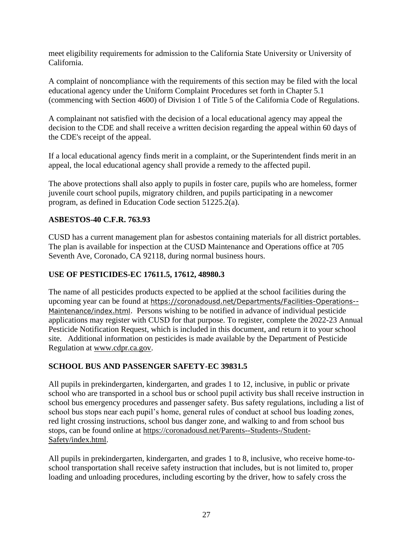meet eligibility requirements for admission to the California State University or University of California.

A complaint of noncompliance with the requirements of this section may be filed with the local educational agency under the Uniform Complaint Procedures set forth in Chapter 5.1 (commencing with Section 4600) of Division 1 of Title 5 of the California Code of Regulations.

A complainant not satisfied with the decision of a local educational agency may appeal the decision to the CDE and shall receive a written decision regarding the appeal within 60 days of the CDE's receipt of the appeal.

If a local educational agency finds merit in a complaint, or the Superintendent finds merit in an appeal, the local educational agency shall provide a remedy to the affected pupil.

The above protections shall also apply to pupils in foster care, pupils who are homeless, former juvenile court school pupils, migratory children, and pupils participating in a newcomer program, as defined in Education Code section 51225.2(a).

## **ASBESTOS-40 C.F.R. 763.93**

CUSD has a current management plan for asbestos containing materials for all district portables. The plan is available for inspection at the CUSD Maintenance and Operations office at 705 Seventh Ave, Coronado, CA 92118, during normal business hours.

## **USE OF PESTICIDES-EC 17611.5, 17612, 48980.3**

The name of all pesticides products expected to be applied at the school facilities during the upcoming year can be found at [https://coronadousd.net/Departments/Facilities-Operations--](https://coronadousd.net/Departments/Facilities-Operations--Maintenance/index.html) [Maintenance/index.html.](https://coronadousd.net/Departments/Facilities-Operations--Maintenance/index.html) Persons wishing to be notified in advance of individual pesticide applications may register with CUSD for that purpose. To register, complete the 2022-23 Annual Pesticide Notification Request, which is included in this document, and return it to your school site. Additional information on pesticides is made available by the Department of Pesticide Regulation at [www.cdpr.ca.gov.](http://www.cdpr.ca.gov/)

## **SCHOOL BUS AND PASSENGER SAFETY-EC 39831.5**

All pupils in prekindergarten, kindergarten, and grades 1 to 12, inclusive, in public or private school who are transported in a school bus or school pupil activity bus shall receive instruction in school bus emergency procedures and passenger safety. Bus safety regulations, including a list of school bus stops near each pupil's home, general rules of conduct at school bus loading zones, red light crossing instructions, school bus danger zone, and walking to and from school bus stops, can be found online at [https://coronadousd.net/Parents--Students-/Student-](https://coronadousd.net/Parents--Students-/Student-Safety/index.html)[Safety/index.html.](https://coronadousd.net/Parents--Students-/Student-Safety/index.html)

All pupils in prekindergarten, kindergarten, and grades 1 to 8, inclusive, who receive home-toschool transportation shall receive safety instruction that includes, but is not limited to, proper loading and unloading procedures, including escorting by the driver, how to safely cross the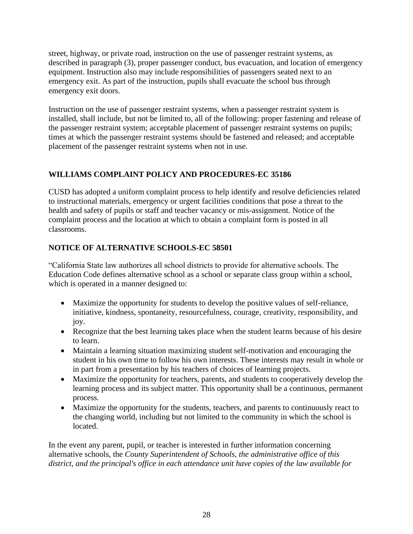street, highway, or private road, instruction on the use of passenger restraint systems, as described in paragraph (3), proper passenger conduct, bus evacuation, and location of emergency equipment. Instruction also may include responsibilities of passengers seated next to an emergency exit. As part of the instruction, pupils shall evacuate the school bus through emergency exit doors.

Instruction on the use of passenger restraint systems, when a passenger restraint system is installed, shall include, but not be limited to, all of the following: proper fastening and release of the passenger restraint system; acceptable placement of passenger restraint systems on pupils; times at which the passenger restraint systems should be fastened and released; and acceptable placement of the passenger restraint systems when not in use.

## **WILLIAMS COMPLAINT POLICY AND PROCEDURES-EC 35186**

CUSD has adopted a uniform complaint process to help identify and resolve deficiencies related to instructional materials, emergency or urgent facilities conditions that pose a threat to the health and safety of pupils or staff and teacher vacancy or mis-assignment. Notice of the complaint process and the location at which to obtain a complaint form is posted in all classrooms.

## **NOTICE OF ALTERNATIVE SCHOOLS-EC 58501**

"California State law authorizes all school districts to provide for alternative schools. The Education Code defines alternative school as a school or separate class group within a school, which is operated in a manner designed to:

- Maximize the opportunity for students to develop the positive values of self-reliance, initiative, kindness, spontaneity, resourcefulness, courage, creativity, responsibility, and joy.
- Recognize that the best learning takes place when the student learns because of his desire to learn.
- Maintain a learning situation maximizing student self-motivation and encouraging the student in his own time to follow his own interests. These interests may result in whole or in part from a presentation by his teachers of choices of learning projects.
- Maximize the opportunity for teachers, parents, and students to cooperatively develop the learning process and its subject matter. This opportunity shall be a continuous, permanent process.
- Maximize the opportunity for the students, teachers, and parents to continuously react to the changing world, including but not limited to the community in which the school is located.

In the event any parent, pupil, or teacher is interested in further information concerning alternative schools, the *County Superintendent of Schools, the administrative office of this district, and the principal's office in each attendance unit have copies of the law available for*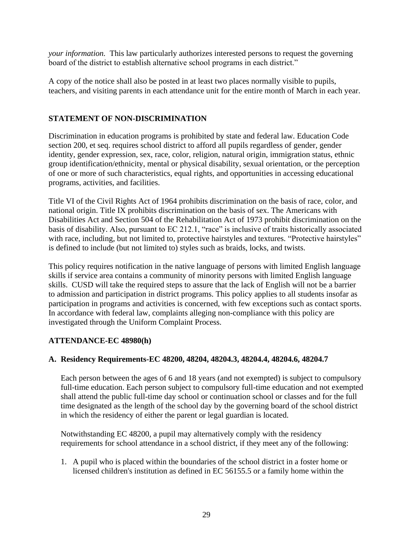*your information.* This law particularly authorizes interested persons to request the governing board of the district to establish alternative school programs in each district."

A copy of the notice shall also be posted in at least two places normally visible to pupils, teachers, and visiting parents in each attendance unit for the entire month of March in each year.

## **STATEMENT OF NON-DISCRIMINATION**

Discrimination in education programs is prohibited by state and federal law. Education Code section 200, et seq. requires school district to afford all pupils regardless of gender, gender identity, gender expression, sex, race, color, religion, natural origin, immigration status, ethnic group identification/ethnicity, mental or physical disability, sexual orientation, or the perception of one or more of such characteristics, equal rights, and opportunities in accessing educational programs, activities, and facilities.

Title VI of the Civil Rights Act of 1964 prohibits discrimination on the basis of race, color, and national origin. Title IX prohibits discrimination on the basis of sex. The Americans with Disabilities Act and Section 504 of the Rehabilitation Act of 1973 prohibit discrimination on the basis of disability. Also, pursuant to EC 212.1, "race" is inclusive of traits historically associated with race, including, but not limited to, protective hairstyles and textures. "Protective hairstyles" is defined to include (but not limited to) styles such as braids, locks, and twists.

This policy requires notification in the native language of persons with limited English language skills if service area contains a community of minority persons with limited English language skills. CUSD will take the required steps to assure that the lack of English will not be a barrier to admission and participation in district programs. This policy applies to all students insofar as participation in programs and activities is concerned, with few exceptions such as contact sports. In accordance with federal law, complaints alleging non-compliance with this policy are investigated through the Uniform Complaint Process.

## **ATTENDANCE-EC 48980(h)**

## **A. Residency Requirements-EC 48200, 48204, 48204.3, 48204.4, 48204.6, 48204.7**

Each person between the ages of 6 and 18 years (and not exempted) is subject to compulsory full-time education. Each person subject to compulsory full-time education and not exempted shall attend the public full-time day school or continuation school or classes and for the full time designated as the length of the school day by the governing board of the school district in which the residency of either the parent or legal guardian is located.

Notwithstanding EC 48200, a pupil may alternatively comply with the residency requirements for school attendance in a school district, if they meet any of the following:

1. A pupil who is placed within the boundaries of the school district in a foster home or licensed children's institution as defined in EC 56155.5 or a family home within the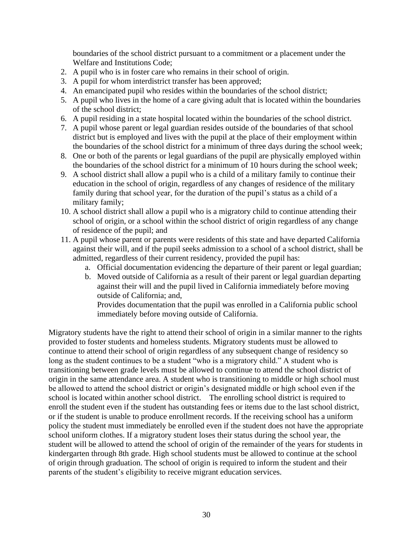boundaries of the school district pursuant to a commitment or a placement under the Welfare and Institutions Code;

- 2. A pupil who is in foster care who remains in their school of origin.
- 3. A pupil for whom interdistrict transfer has been approved;
- 4. An emancipated pupil who resides within the boundaries of the school district;
- 5. A pupil who lives in the home of a care giving adult that is located within the boundaries of the school district;
- 6. A pupil residing in a state hospital located within the boundaries of the school district.
- 7. A pupil whose parent or legal guardian resides outside of the boundaries of that school district but is employed and lives with the pupil at the place of their employment within the boundaries of the school district for a minimum of three days during the school week;
- 8. One or both of the parents or legal guardians of the pupil are physically employed within the boundaries of the school district for a minimum of 10 hours during the school week;
- 9. A school district shall allow a pupil who is a child of a military family to continue their education in the school of origin, regardless of any changes of residence of the military family during that school year, for the duration of the pupil's status as a child of a military family;
- 10. A school district shall allow a pupil who is a migratory child to continue attending their school of origin, or a school within the school district of origin regardless of any change of residence of the pupil; and
- 11. A pupil whose parent or parents were residents of this state and have departed California against their will, and if the pupil seeks admission to a school of a school district, shall be admitted, regardless of their current residency, provided the pupil has:
	- a. Official documentation evidencing the departure of their parent or legal guardian;
	- b. Moved outside of California as a result of their parent or legal guardian departing against their will and the pupil lived in California immediately before moving outside of California; and,

Provides documentation that the pupil was enrolled in a California public school immediately before moving outside of California.

Migratory students have the right to attend their school of origin in a similar manner to the rights provided to foster students and homeless students. Migratory students must be allowed to continue to attend their school of origin regardless of any subsequent change of residency so long as the student continues to be a student "who is a migratory child." A student who is transitioning between grade levels must be allowed to continue to attend the school district of origin in the same attendance area. A student who is transitioning to middle or high school must be allowed to attend the school district or origin's designated middle or high school even if the school is located within another school district. The enrolling school district is required to enroll the student even if the student has outstanding fees or items due to the last school district, or if the student is unable to produce enrollment records. If the receiving school has a uniform policy the student must immediately be enrolled even if the student does not have the appropriate school uniform clothes. If a migratory student loses their status during the school year, the student will be allowed to attend the school of origin of the remainder of the years for students in kindergarten through 8th grade. High school students must be allowed to continue at the school of origin through graduation. The school of origin is required to inform the student and their parents of the student's eligibility to receive migrant education services.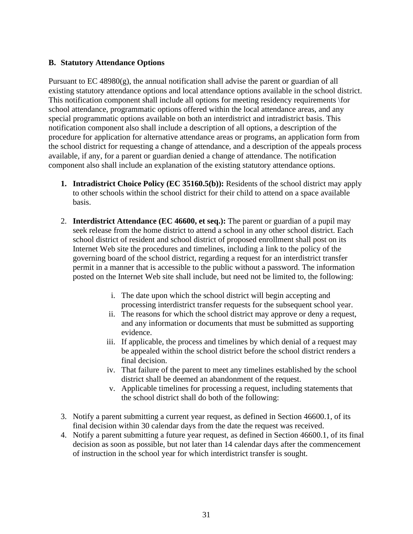#### **B. Statutory Attendance Options**

Pursuant to EC 48980(g), the annual notification shall advise the parent or guardian of all existing statutory attendance options and local attendance options available in the school district. This notification component shall include all options for meeting residency requirements \for school attendance, programmatic options offered within the local attendance areas, and any special programmatic options available on both an interdistrict and intradistrict basis. This notification component also shall include a description of all options, a description of the procedure for application for alternative attendance areas or programs, an application form from the school district for requesting a change of attendance, and a description of the appeals process available, if any, for a parent or guardian denied a change of attendance. The notification component also shall include an explanation of the existing statutory attendance options.

- **1. Intradistrict Choice Policy (EC 35160.5(b)):** Residents of the school district may apply to other schools within the school district for their child to attend on a space available basis.
- 2. **Interdistrict Attendance (EC 46600, et seq.):** The parent or guardian of a pupil may seek release from the home district to attend a school in any other school district. Each school district of resident and school district of proposed enrollment shall post on its Internet Web site the procedures and timelines, including a link to the policy of the governing board of the school district, regarding a request for an interdistrict transfer permit in a manner that is accessible to the public without a password. The information posted on the Internet Web site shall include, but need not be limited to, the following:
	- i. The date upon which the school district will begin accepting and processing interdistrict transfer requests for the subsequent school year.
	- ii. The reasons for which the school district may approve or deny a request, and any information or documents that must be submitted as supporting evidence.
	- iii. If applicable, the process and timelines by which denial of a request may be appealed within the school district before the school district renders a final decision.
	- iv. That failure of the parent to meet any timelines established by the school district shall be deemed an abandonment of the request.
	- v. Applicable timelines for processing a request, including statements that the school district shall do both of the following:
- 3. Notify a parent submitting a current year request, as defined in Section 46600.1, of its final decision within 30 calendar days from the date the request was received.
- 4. Notify a parent submitting a future year request, as defined in Section 46600.1, of its final decision as soon as possible, but not later than 14 calendar days after the commencement of instruction in the school year for which interdistrict transfer is sought.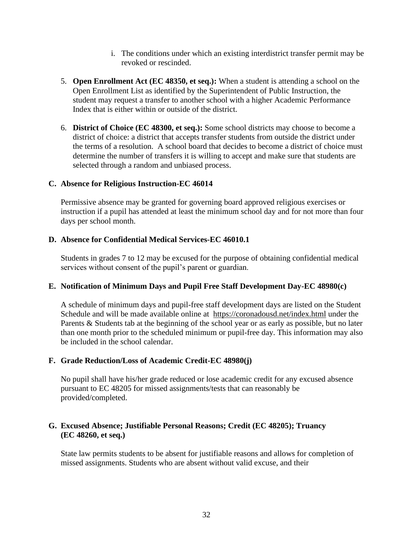- i. The conditions under which an existing interdistrict transfer permit may be revoked or rescinded.
- 5. **Open Enrollment Act (EC 48350, et seq.):** When a student is attending a school on the Open Enrollment List as identified by the Superintendent of Public Instruction, the student may request a transfer to another school with a higher Academic Performance Index that is either within or outside of the district.
- 6. **District of Choice (EC 48300, et seq.):** Some school districts may choose to become a district of choice: a district that accepts transfer students from outside the district under the terms of a resolution. A school board that decides to become a district of choice must determine the number of transfers it is willing to accept and make sure that students are selected through a random and unbiased process.

#### **C. Absence for Religious Instruction-EC 46014**

Permissive absence may be granted for governing board approved religious exercises or instruction if a pupil has attended at least the minimum school day and for not more than four days per school month.

#### **D. Absence for Confidential Medical Services-EC 46010.1**

Students in grades 7 to 12 may be excused for the purpose of obtaining confidential medical services without consent of the pupil's parent or guardian.

## **E. Notification of Minimum Days and Pupil Free Staff Development Day-EC 48980(c)**

A schedule of minimum days and pupil-free staff development days are listed on the Student Schedule and will be made available online at <https://coronadousd.net/index.html> under the Parents & Students tab at the beginning of the school year or as early as possible, but no later than one month prior to the scheduled minimum or pupil-free day. This information may also be included in the school calendar.

## **F. Grade Reduction/Loss of Academic Credit-EC 48980(j)**

No pupil shall have his/her grade reduced or lose academic credit for any excused absence pursuant to EC 48205 for missed assignments/tests that can reasonably be provided/completed.

#### **G. Excused Absence; Justifiable Personal Reasons; Credit (EC 48205); Truancy (EC 48260, et seq.)**

State law permits students to be absent for justifiable reasons and allows for completion of missed assignments. Students who are absent without valid excuse, and their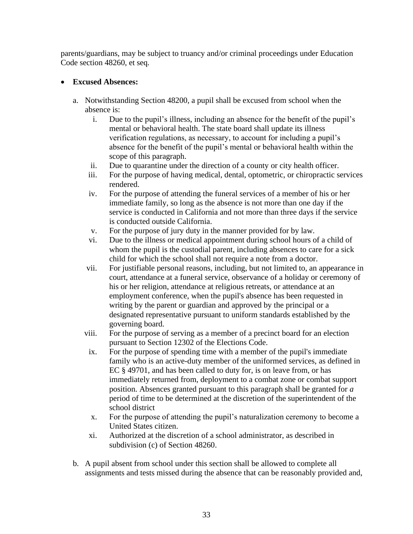parents/guardians, may be subject to truancy and/or criminal proceedings under Education Code section 48260, et seq*.*

## • **Excused Absences:**

- a. Notwithstanding Section 48200, a pupil shall be excused from school when the absence is:
	- i. Due to the pupil's illness, including an absence for the benefit of the pupil's mental or behavioral health. The state board shall update its illness verification regulations, as necessary, to account for including a pupil's absence for the benefit of the pupil's mental or behavioral health within the scope of this paragraph.
	- ii. Due to quarantine under the direction of a county or city health officer.
	- iii. For the purpose of having medical, dental, optometric, or chiropractic services rendered.
	- iv. For the purpose of attending the funeral services of a member of his or her immediate family, so long as the absence is not more than one day if the service is conducted in California and not more than three days if the service is conducted outside California.
	- v. For the purpose of jury duty in the manner provided for by law.
	- vi. Due to the illness or medical appointment during school hours of a child of whom the pupil is the custodial parent, including absences to care for a sick child for which the school shall not require a note from a doctor.
	- vii. For justifiable personal reasons, including, but not limited to, an appearance in court, attendance at a funeral service, observance of a holiday or ceremony of his or her religion, attendance at religious retreats, or attendance at an employment conference, when the pupil's absence has been requested in writing by the parent or guardian and approved by the principal or a designated representative pursuant to uniform standards established by the governing board.
	- viii. For the purpose of serving as a member of a precinct board for an election pursuant to Section 12302 of the Elections Code.
	- ix. For the purpose of spending time with a member of the pupil's immediate family who is an active-duty member of the uniformed services, as defined in EC § 49701, and has been called to duty for, is on leave from, or has immediately returned from, deployment to a combat zone or combat support position. Absences granted pursuant to this paragraph shall be granted for *a*  period of time to be determined at the discretion of the superintendent of the school district
	- x. For the purpose of attending the pupil's naturalization ceremony to become a United States citizen.
	- xi. Authorized at the discretion of a school administrator, as described in subdivision (c) of Section 48260.
- b. A pupil absent from school under this section shall be allowed to complete all assignments and tests missed during the absence that can be reasonably provided and,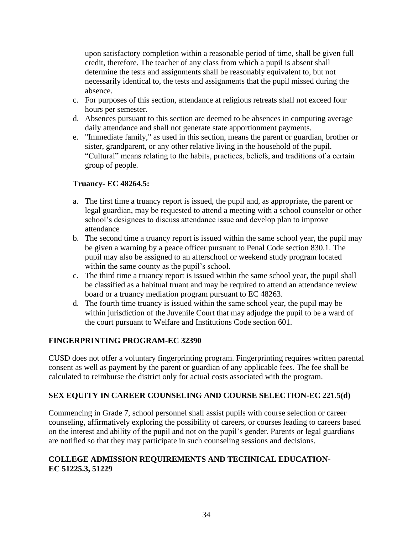upon satisfactory completion within a reasonable period of time, shall be given full credit, therefore. The teacher of any class from which a pupil is absent shall determine the tests and assignments shall be reasonably equivalent to, but not necessarily identical to, the tests and assignments that the pupil missed during the absence.

- c. For purposes of this section, attendance at religious retreats shall not exceed four hours per semester.
- d. Absences pursuant to this section are deemed to be absences in computing average daily attendance and shall not generate state apportionment payments.
- e. "Immediate family," as used in this section, means the parent or guardian, brother or sister, grandparent, or any other relative living in the household of the pupil. "Cultural" means relating to the habits, practices, beliefs, and traditions of a certain group of people.

## **Truancy- EC 48264.5:**

- a. The first time a truancy report is issued, the pupil and, as appropriate, the parent or legal guardian, may be requested to attend a meeting with a school counselor or other school's designees to discuss attendance issue and develop plan to improve attendance
- b. The second time a truancy report is issued within the same school year, the pupil may be given a warning by a peace officer pursuant to Penal Code section 830.1. The pupil may also be assigned to an afterschool or weekend study program located within the same county as the pupil's school.
- c. The third time a truancy report is issued within the same school year, the pupil shall be classified as a habitual truant and may be required to attend an attendance review board or a truancy mediation program pursuant to EC 48263.
- d. The fourth time truancy is issued within the same school year, the pupil may be within jurisdiction of the Juvenile Court that may adjudge the pupil to be a ward of the court pursuant to Welfare and Institutions Code section 601.

## **FINGERPRINTING PROGRAM-EC 32390**

CUSD does not offer a voluntary fingerprinting program. Fingerprinting requires written parental consent as well as payment by the parent or guardian of any applicable fees. The fee shall be calculated to reimburse the district only for actual costs associated with the program.

## **SEX EQUITY IN CAREER COUNSELING AND COURSE SELECTION-EC 221.5(d)**

Commencing in Grade 7, school personnel shall assist pupils with course selection or career counseling, affirmatively exploring the possibility of careers, or courses leading to careers based on the interest and ability of the pupil and not on the pupil's gender. Parents or legal guardians are notified so that they may participate in such counseling sessions and decisions.

## **COLLEGE ADMISSION REQUIREMENTS AND TECHNICAL EDUCATION-EC 51225.3, 51229**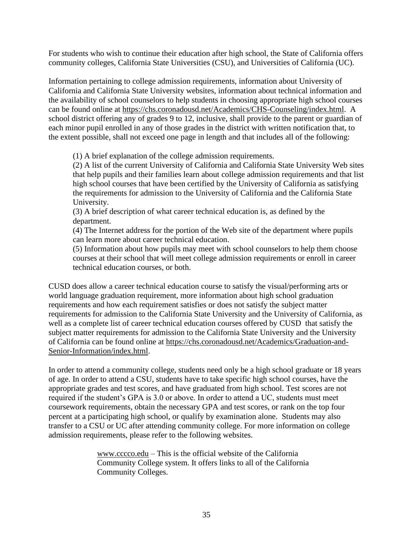For students who wish to continue their education after high school, the State of California offers community colleges, California State Universities (CSU), and Universities of California (UC).

Information pertaining to college admission requirements, information about University of California and California State University websites, information about technical information and the availability of school counselors to help students in choosing appropriate high school courses can be found online at [https://chs.coronadousd.net/Academics/CHS-Counseling/index.html.](https://chs.coronadousd.net/Academics/CHS-Counseling/index.html) A school district offering any of grades 9 to 12, inclusive, shall provide to the parent or guardian of each minor pupil enrolled in any of those grades in the district with written notification that, to the extent possible, shall not exceed one page in length and that includes all of the following:

(1) A brief explanation of the college admission requirements.

(2) A list of the current University of California and California State University Web sites that help pupils and their families learn about college admission requirements and that list high school courses that have been certified by the University of California as satisfying the requirements for admission to the University of California and the California State University.

(3) A brief description of what career technical education is, as defined by the department.

(4) The Internet address for the portion of the Web site of the department where pupils can learn more about career technical education.

(5) Information about how pupils may meet with school counselors to help them choose courses at their school that will meet college admission requirements or enroll in career technical education courses, or both.

CUSD does allow a career technical education course to satisfy the visual/performing arts or world language graduation requirement, more information about high school graduation requirements and how each requirement satisfies or does not satisfy the subject matter requirements for admission to the California State University and the University of California, as well as a complete list of career technical education courses offered by CUSD that satisfy the subject matter requirements for admission to the California State University and the University of California can be found online at [https://chs.coronadousd.net/Academics/Graduation-and-](https://chs.coronadousd.net/Academics/Graduation-and-Senior-Information/index.html)[Senior-Information/index.html.](https://chs.coronadousd.net/Academics/Graduation-and-Senior-Information/index.html)

In order to attend a community college, students need only be a high school graduate or 18 years of age. In order to attend a CSU, students have to take specific high school courses, have the appropriate grades and test scores, and have graduated from high school. Test scores are not required if the student's GPA is 3.0 or above. In order to attend a UC, students must meet coursework requirements, obtain the necessary GPA and test scores, or rank on the top four percent at a participating high school, or qualify by examination alone. Students may also transfer to a CSU or UC after attending community college. For more information on college admission requirements, please refer to the following websites.

> [www.cccco.edu](http://www.cccco.edu/) – This is the official website of the California Community College system. It offers links to all of the California Community Colleges.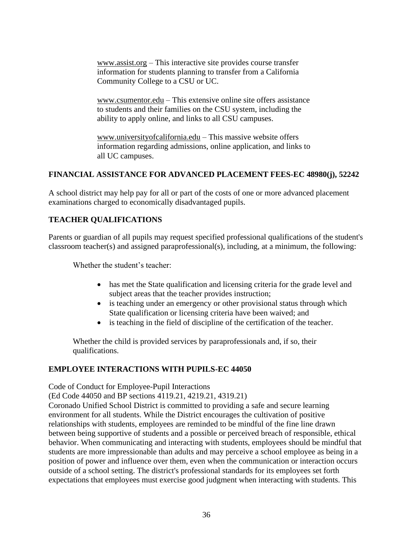[www.assist.org](http://www.assist.org/) – This interactive site provides course transfer information for students planning to transfer from a California Community College to a CSU or UC.

[www.csumentor.edu](http://www.csumentor.edu/) – This extensive online site offers assistance to students and their families on the CSU system, including the ability to apply online, and links to all CSU campuses.

[www.universityofcalifornia.edu](http://www.universityofcalifornia.edu/) – This massive website offers information regarding admissions, online application, and links to all UC campuses.

## **FINANCIAL ASSISTANCE FOR ADVANCED PLACEMENT FEES-EC 48980(j), 52242**

A school district may help pay for all or part of the costs of one or more advanced placement examinations charged to economically disadvantaged pupils.

## **TEACHER QUALIFICATIONS**

Parents or guardian of all pupils may request specified professional qualifications of the student's classroom teacher(s) and assigned paraprofessional(s), including, at a minimum, the following:

Whether the student's teacher:

- has met the State qualification and licensing criteria for the grade level and subject areas that the teacher provides instruction;
- is teaching under an emergency or other provisional status through which State qualification or licensing criteria have been waived; and
- is teaching in the field of discipline of the certification of the teacher.

Whether the child is provided services by paraprofessionals and, if so, their qualifications.

## **EMPLOYEE INTERACTIONS WITH PUPILS-EC 44050**

Code of Conduct for Employee-Pupil Interactions

(Ed Code 44050 and BP sections 4119.21, 4219.21, 4319.21)

Coronado Unified School District is committed to providing a safe and secure learning environment for all students. While the District encourages the cultivation of positive relationships with students, employees are reminded to be mindful of the fine line drawn between being supportive of students and a possible or perceived breach of responsible, ethical behavior. When communicating and interacting with students, employees should be mindful that students are more impressionable than adults and may perceive a school employee as being in a position of power and influence over them, even when the communication or interaction occurs outside of a school setting. The district's professional standards for its employees set forth expectations that employees must exercise good judgment when interacting with students. This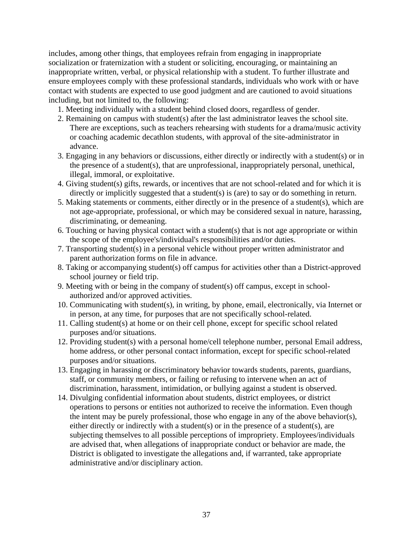includes, among other things, that employees refrain from engaging in inappropriate socialization or fraternization with a student or soliciting, encouraging, or maintaining an inappropriate written, verbal, or physical relationship with a student. To further illustrate and ensure employees comply with these professional standards, individuals who work with or have contact with students are expected to use good judgment and are cautioned to avoid situations including, but not limited to, the following:

- 1. Meeting individually with a student behind closed doors, regardless of gender.
- 2. Remaining on campus with student(s) after the last administrator leaves the school site. There are exceptions, such as teachers rehearsing with students for a drama/music activity or coaching academic decathlon students, with approval of the site-administrator in advance.
- 3. Engaging in any behaviors or discussions, either directly or indirectly with a student(s) or in the presence of a student(s), that are unprofessional, inappropriately personal, unethical, illegal, immoral, or exploitative.
- 4. Giving student(s) gifts, rewards, or incentives that are not school-related and for which it is directly or implicitly suggested that a student(s) is (are) to say or do something in return.
- 5. Making statements or comments, either directly or in the presence of a student(s), which are not age-appropriate, professional, or which may be considered sexual in nature, harassing, discriminating, or demeaning.
- 6. Touching or having physical contact with a student(s) that is not age appropriate or within the scope of the employee's/individual's responsibilities and/or duties.
- 7. Transporting student(s) in a personal vehicle without proper written administrator and parent authorization forms on file in advance.
- 8. Taking or accompanying student(s) off campus for activities other than a District-approved school journey or field trip.
- 9. Meeting with or being in the company of student(s) off campus, except in schoolauthorized and/or approved activities.
- 10. Communicating with student(s), in writing, by phone, email, electronically, via Internet or in person, at any time, for purposes that are not specifically school-related.
- 11. Calling student(s) at home or on their cell phone, except for specific school related purposes and/or situations.
- 12. Providing student(s) with a personal home/cell telephone number, personal Email address, home address, or other personal contact information, except for specific school-related purposes and/or situations.
- 13. Engaging in harassing or discriminatory behavior towards students, parents, guardians, staff, or community members, or failing or refusing to intervene when an act of discrimination, harassment, intimidation, or bullying against a student is observed.
- 14. Divulging confidential information about students, district employees, or district operations to persons or entities not authorized to receive the information. Even though the intent may be purely professional, those who engage in any of the above behavior(s), either directly or indirectly with a student(s) or in the presence of a student(s), are subjecting themselves to all possible perceptions of impropriety. Employees/individuals are advised that, when allegations of inappropriate conduct or behavior are made, the District is obligated to investigate the allegations and, if warranted, take appropriate administrative and/or disciplinary action.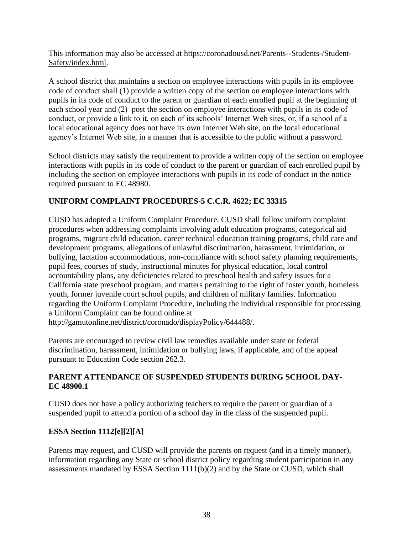This information may also be accessed at [https://coronadousd.net/Parents--Students-/Student-](https://coronadousd.net/Parents--Students-/Student-Safety/index.html)[Safety/index.html.](https://coronadousd.net/Parents--Students-/Student-Safety/index.html)

A school district that maintains a section on employee interactions with pupils in its employee code of conduct shall (1) provide a written copy of the section on employee interactions with pupils in its code of conduct to the parent or guardian of each enrolled pupil at the beginning of each school year and (2) post the section on employee interactions with pupils in its code of conduct, or provide a link to it, on each of its schools' Internet Web sites, or, if a school of a local educational agency does not have its own Internet Web site, on the local educational agency's Internet Web site, in a manner that is accessible to the public without a password.

School districts may satisfy the requirement to provide a written copy of the section on employee interactions with pupils in its code of conduct to the parent or guardian of each enrolled pupil by including the section on employee interactions with pupils in its code of conduct in the notice required pursuant to EC 48980.

## **UNIFORM COMPLAINT PROCEDURES-5 C.C.R. 4622; EC 33315**

CUSD has adopted a Uniform Complaint Procedure. CUSD shall follow uniform complaint procedures when addressing complaints involving adult education programs, categorical aid programs, migrant child education, career technical education training programs, child care and development programs, allegations of unlawful discrimination, harassment, intimidation, or bullying, lactation accommodations, non-compliance with school safety planning requirements, pupil fees, courses of study, instructional minutes for physical education, local control accountability plans, any deficiencies related to preschool health and safety issues for a California state preschool program, and matters pertaining to the right of foster youth, homeless youth, former juvenile court school pupils, and children of military families. Information regarding the Uniform Complaint Procedure, including the individual responsible for processing a Uniform Complaint can be found online at

[http://gamutonline.net/district/coronado/displayPolicy/644488/.](http://gamutonline.net/district/coronado/displayPolicy/644488/)

Parents are encouraged to review civil law remedies available under state or federal discrimination, harassment, intimidation or bullying laws, if applicable, and of the appeal pursuant to Education Code section 262.3.

## **PARENT ATTENDANCE OF SUSPENDED STUDENTS DURING SCHOOL DAY-EC 48900.1**

CUSD does not have a policy authorizing teachers to require the parent or guardian of a suspended pupil to attend a portion of a school day in the class of the suspended pupil.

## **ESSA Section 1112[e][2][A]**

Parents may request, and CUSD will provide the parents on request (and in a timely manner), information regarding any State or school district policy regarding student participation in any assessments mandated by ESSA Section  $1111(b)(2)$  and by the State or CUSD, which shall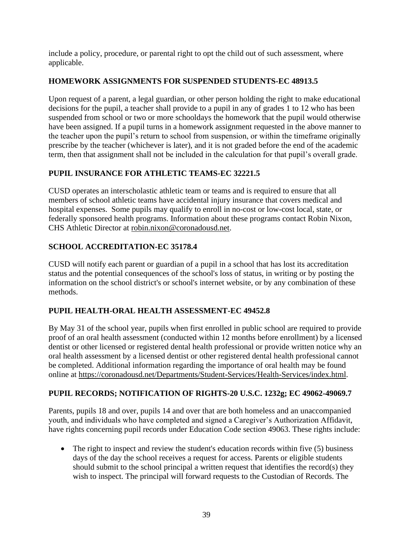include a policy, procedure, or parental right to opt the child out of such assessment, where applicable.

## **HOMEWORK ASSIGNMENTS FOR SUSPENDED STUDENTS-EC 48913.5**

Upon request of a parent, a legal guardian, or other person holding the right to make educational decisions for the pupil, a teacher shall provide to a pupil in any of grades 1 to 12 who has been suspended from school or two or more schooldays the homework that the pupil would otherwise have been assigned. If a pupil turns in a homework assignment requested in the above manner to the teacher upon the pupil's return to school from suspension, or within the timeframe originally prescribe by the teacher (whichever is later), and it is not graded before the end of the academic term, then that assignment shall not be included in the calculation for that pupil's overall grade.

## **PUPIL INSURANCE FOR ATHLETIC TEAMS-EC 32221.5**

CUSD operates an interscholastic athletic team or teams and is required to ensure that all members of school athletic teams have accidental injury insurance that covers medical and hospital expenses. Some pupils may qualify to enroll in no-cost or low-cost local, state, or federally sponsored health programs. Information about these programs contact Robin Nixon, CHS Athletic Director at [robin.nixon@coronadousd.net.](mailto:robin.nixon@coronadousd.net)

## **SCHOOL ACCREDITATION-EC 35178.4**

CUSD will notify each parent or guardian of a pupil in a school that has lost its accreditation status and the potential consequences of the school's loss of status, in writing or by posting the information on the school district's or school's internet website, or by any combination of these methods.

## **PUPIL HEALTH-ORAL HEALTH ASSESSMENT-EC 49452.8**

By May 31 of the school year, pupils when first enrolled in public school are required to provide proof of an oral health assessment (conducted within 12 months before enrollment) by a licensed dentist or other licensed or registered dental health professional or provide written notice why an oral health assessment by a licensed dentist or other registered dental health professional cannot be completed. Additional information regarding the importance of oral health may be found online at [https://coronadousd.net/Departments/Student-Services/Health-Services/index.html.](https://coronadousd.net/Departments/Student-Services/Health-Services/index.html)

## **PUPIL RECORDS; NOTIFICATION OF RIGHTS-20 U.S.C. 1232g; EC 49062-49069.7**

Parents, pupils 18 and over, pupils 14 and over that are both homeless and an unaccompanied youth, and individuals who have completed and signed a Caregiver's Authorization Affidavit, have rights concerning pupil records under Education Code section 49063. These rights include:

• The right to inspect and review the student's education records within five (5) business days of the day the school receives a request for access. Parents or eligible students should submit to the school principal a written request that identifies the record(s) they wish to inspect. The principal will forward requests to the Custodian of Records. The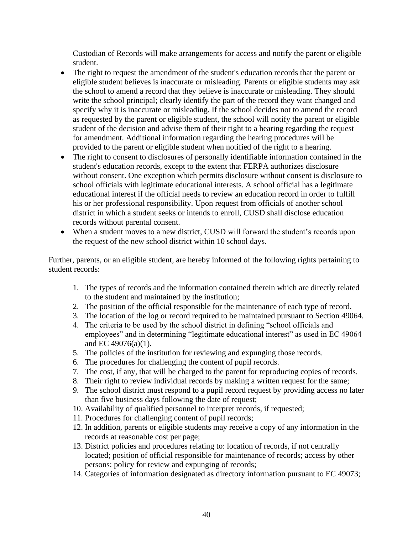Custodian of Records will make arrangements for access and notify the parent or eligible student.

- The right to request the amendment of the student's education records that the parent or eligible student believes is inaccurate or misleading. Parents or eligible students may ask the school to amend a record that they believe is inaccurate or misleading. They should write the school principal; clearly identify the part of the record they want changed and specify why it is inaccurate or misleading. If the school decides not to amend the record as requested by the parent or eligible student, the school will notify the parent or eligible student of the decision and advise them of their right to a hearing regarding the request for amendment. Additional information regarding the hearing procedures will be provided to the parent or eligible student when notified of the right to a hearing.
- The right to consent to disclosures of personally identifiable information contained in the student's education records, except to the extent that FERPA authorizes disclosure without consent. One exception which permits disclosure without consent is disclosure to school officials with legitimate educational interests. A school official has a legitimate educational interest if the official needs to review an education record in order to fulfill his or her professional responsibility. Upon request from officials of another school district in which a student seeks or intends to enroll, CUSD shall disclose education records without parental consent.
- When a student moves to a new district, CUSD will forward the student's records upon the request of the new school district within 10 school days.

Further, parents, or an eligible student, are hereby informed of the following rights pertaining to student records:

- 1. The types of records and the information contained therein which are directly related to the student and maintained by the institution;
- 2. The position of the official responsible for the maintenance of each type of record.
- 3. The location of the log or record required to be maintained pursuant to Section 49064.
- 4. The criteria to be used by the school district in defining "school officials and employees" and in determining "legitimate educational interest" as used in EC 49064 and EC 49076(a)(1).
- 5. The policies of the institution for reviewing and expunging those records.
- 6. The procedures for challenging the content of pupil records.
- 7. The cost, if any, that will be charged to the parent for reproducing copies of records.
- 8. Their right to review individual records by making a written request for the same;
- 9. The school district must respond to a pupil record request by providing access no later than five business days following the date of request;
- 10. Availability of qualified personnel to interpret records, if requested;
- 11. Procedures for challenging content of pupil records;
- 12. In addition, parents or eligible students may receive a copy of any information in the records at reasonable cost per page;
- 13. District policies and procedures relating to: location of records, if not centrally located; position of official responsible for maintenance of records; access by other persons; policy for review and expunging of records;
- 14. Categories of information designated as directory information pursuant to EC 49073;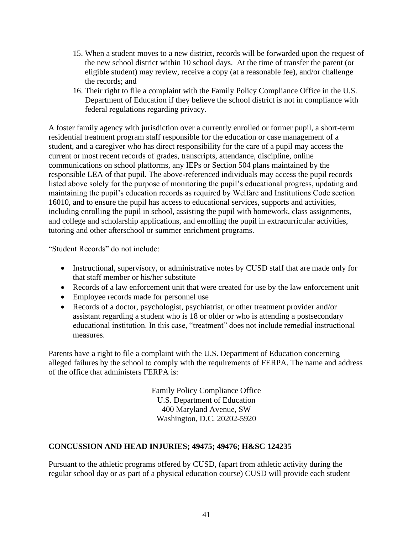- 15. When a student moves to a new district, records will be forwarded upon the request of the new school district within 10 school days. At the time of transfer the parent (or eligible student) may review, receive a copy (at a reasonable fee), and/or challenge the records; and
- 16. Their right to file a complaint with the Family Policy Compliance Office in the U.S. Department of Education if they believe the school district is not in compliance with federal regulations regarding privacy.

A foster family agency with jurisdiction over a currently enrolled or former pupil, a short-term residential treatment program staff responsible for the education or case management of a student, and a caregiver who has direct responsibility for the care of a pupil may access the current or most recent records of grades, transcripts, attendance, discipline, online communications on school platforms, any IEPs or Section 504 plans maintained by the responsible LEA of that pupil. The above-referenced individuals may access the pupil records listed above solely for the purpose of monitoring the pupil's educational progress, updating and maintaining the pupil's education records as required by Welfare and Institutions Code section 16010, and to ensure the pupil has access to educational services, supports and activities, including enrolling the pupil in school, assisting the pupil with homework, class assignments, and college and scholarship applications, and enrolling the pupil in extracurricular activities, tutoring and other afterschool or summer enrichment programs.

"Student Records" do not include:

- Instructional, supervisory, or administrative notes by CUSD staff that are made only for that staff member or his/her substitute
- Records of a law enforcement unit that were created for use by the law enforcement unit
- Employee records made for personnel use
- Records of a doctor, psychologist, psychiatrist, or other treatment provider and/or assistant regarding a student who is 18 or older or who is attending a postsecondary educational institution. In this case, "treatment" does not include remedial instructional measures.

Parents have a right to file a complaint with the U.S. Department of Education concerning alleged failures by the school to comply with the requirements of FERPA. The name and address of the office that administers FERPA is:

> Family Policy Compliance Office U.S. Department of Education 400 Maryland Avenue, SW Washington, D.C. 20202-5920

## **CONCUSSION AND HEAD INJURIES; 49475; 49476; H&SC 124235**

Pursuant to the athletic programs offered by CUSD, (apart from athletic activity during the regular school day or as part of a physical education course) CUSD will provide each student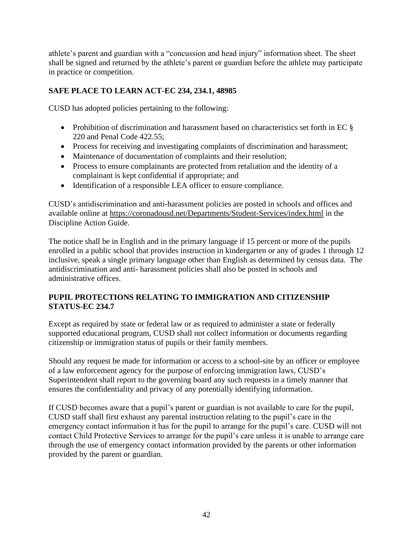athlete's parent and guardian with a "concussion and head injury" information sheet. The sheet shall be signed and returned by the athlete's parent or guardian before the athlete may participate in practice or competition.

## **SAFE PLACE TO LEARN ACT-EC 234, 234.1, 48985**

CUSD has adopted policies pertaining to the following:

- Prohibition of discrimination and harassment based on characteristics set forth in EC  $\S$ 220 and Penal Code 422.55;
- Process for receiving and investigating complaints of discrimination and harassment;
- Maintenance of documentation of complaints and their resolution;
- Process to ensure complainants are protected from retaliation and the identity of a complainant is kept confidential if appropriate; and
- Identification of a responsible LEA officer to ensure compliance.

CUSD's antidiscrimination and anti-harassment policies are posted in schools and offices and available online at<https://coronadousd.net/Departments/Student-Services/index.html> in the Discipline Action Guide.

The notice shall be in English and in the primary language if 15 percent or more of the pupils enrolled in a public school that provides instruction in kindergarten or any of grades 1 through 12 inclusive, speak a single primary language other than English as determined by census data. The antidiscrimination and anti- harassment policies shall also be posted in schools and administrative offices.

## **PUPIL PROTECTIONS RELATING TO IMMIGRATION AND CITIZENSHIP STATUS-EC 234.7**

Except as required by state or federal law or as required to administer a state or federally supported educational program, CUSD shall not collect information or documents regarding citizenship or immigration status of pupils or their family members.

Should any request be made for information or access to a school-site by an officer or employee of a law enforcement agency for the purpose of enforcing immigration laws, CUSD's Superintendent shall report to the governing board any such requests in a timely manner that ensures the confidentiality and privacy of any potentially identifying information.

If CUSD becomes aware that a pupil's parent or guardian is not available to care for the pupil, CUSD staff shall first exhaust any parental instruction relating to the pupil's care in the emergency contact information it has for the pupil to arrange for the pupil's care. CUSD will not contact Child Protective Services to arrange for the pupil's care unless it is unable to arrange care through the use of emergency contact information provided by the parents or other information provided by the parent or guardian.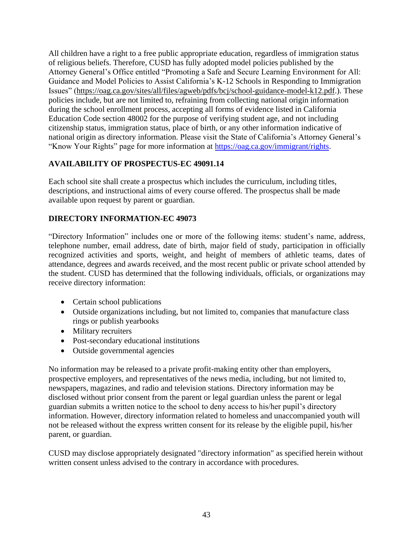All children have a right to a free public appropriate education, regardless of immigration status of religious beliefs. Therefore, CUSD has fully adopted model policies published by the Attorney General's Office entitled "Promoting a Safe and Secure Learning Environment for All: Guidance and Model Policies to Assist California's K-12 Schools in Responding to Immigration Issues" [\(https://oag.ca.gov/sites/all/files/agweb/pdfs/bcj/school-guidance-model-k12.pdf.](https://oag.ca.gov/sites/all/files/agweb/pdfs/bcj/school-guidance-model-k12.pdf)). These policies include, but are not limited to, refraining from collecting national origin information during the school enrollment process, accepting all forms of evidence listed in California Education Code section 48002 for the purpose of verifying student age, and not including citizenship status, immigration status, place of birth, or any other information indicative of national origin as directory information. Please visit the State of California's Attorney General's "Know Your Rights" page for more information at [https://oag.ca.gov/immigrant/rights.](https://oag.ca.gov/immigrant/rights)

## **AVAILABILITY OF PROSPECTUS-EC 49091.14**

Each school site shall create a prospectus which includes the curriculum, including titles, descriptions, and instructional aims of every course offered. The prospectus shall be made available upon request by parent or guardian.

## **DIRECTORY INFORMATION-EC 49073**

"Directory Information" includes one or more of the following items: student's name, address, telephone number, email address, date of birth, major field of study, participation in officially recognized activities and sports, weight, and height of members of athletic teams, dates of attendance, degrees and awards received, and the most recent public or private school attended by the student. CUSD has determined that the following individuals, officials, or organizations may receive directory information:

- Certain school publications
- Outside organizations including, but not limited to, companies that manufacture class rings or publish yearbooks
- Military recruiters
- Post-secondary educational institutions
- Outside governmental agencies

No information may be released to a private profit-making entity other than employers, prospective employers, and representatives of the news media, including, but not limited to, newspapers, magazines, and radio and television stations. Directory information may be disclosed without prior consent from the parent or legal guardian unless the parent or legal guardian submits a written notice to the school to deny access to his/her pupil's directory information. However, directory information related to homeless and unaccompanied youth will not be released without the express written consent for its release by the eligible pupil, his/her parent, or guardian.

CUSD may disclose appropriately designated "directory information" as specified herein without written consent unless advised to the contrary in accordance with procedures.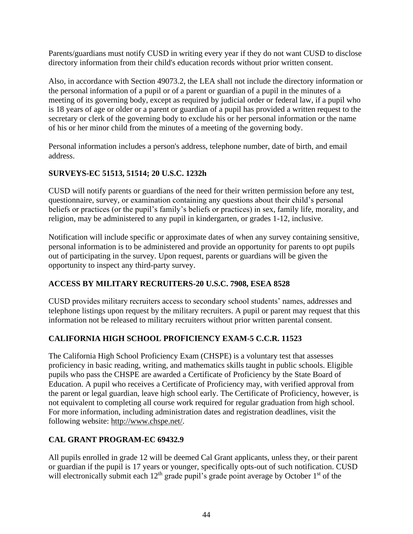Parents/guardians must notify CUSD in writing every year if they do not want CUSD to disclose directory information from their child's education records without prior written consent.

Also, in accordance with Section 49073.2, the LEA shall not include the directory information or the personal information of a pupil or of a parent or guardian of a pupil in the minutes of a meeting of its governing body, except as required by judicial order or federal law, if a pupil who is 18 years of age or older or a parent or guardian of a pupil has provided a written request to the secretary or clerk of the governing body to exclude his or her personal information or the name of his or her minor child from the minutes of a meeting of the governing body.

Personal information includes a person's address, telephone number, date of birth, and email address.

## **SURVEYS-EC 51513, 51514; 20 U.S.C. 1232h**

CUSD will notify parents or guardians of the need for their written permission before any test, questionnaire, survey, or examination containing any questions about their child's personal beliefs or practices (or the pupil's family's beliefs or practices) in sex, family life, morality, and religion, may be administered to any pupil in kindergarten, or grades 1-12, inclusive.

Notification will include specific or approximate dates of when any survey containing sensitive, personal information is to be administered and provide an opportunity for parents to opt pupils out of participating in the survey. Upon request, parents or guardians will be given the opportunity to inspect any third-party survey.

## **ACCESS BY MILITARY RECRUITERS-20 U.S.C. 7908, ESEA 8528**

CUSD provides military recruiters access to secondary school students' names, addresses and telephone listings upon request by the military recruiters. A pupil or parent may request that this information not be released to military recruiters without prior written parental consent.

## **CALIFORNIA HIGH SCHOOL PROFICIENCY EXAM-5 C.C.R. 11523**

The California High School Proficiency Exam (CHSPE) is a voluntary test that assesses proficiency in basic reading, writing, and mathematics skills taught in public schools. Eligible pupils who pass the CHSPE are awarded a Certificate of Proficiency by the State Board of Education. A pupil who receives a Certificate of Proficiency may, with verified approval from the parent or legal guardian, leave high school early. The Certificate of Proficiency, however, is not equivalent to completing all course work required for regular graduation from high school. For more information, including administration dates and registration deadlines, visit the following website: [http://www.chspe.net/.](http://www.chspe.net/)

## **CAL GRANT PROGRAM-EC 69432.9**

All pupils enrolled in grade 12 will be deemed Cal Grant applicants, unless they, or their parent or guardian if the pupil is 17 years or younger, specifically opts-out of such notification. CUSD will electronically submit each  $12<sup>th</sup>$  grade pupil's grade point average by October 1<sup>st</sup> of the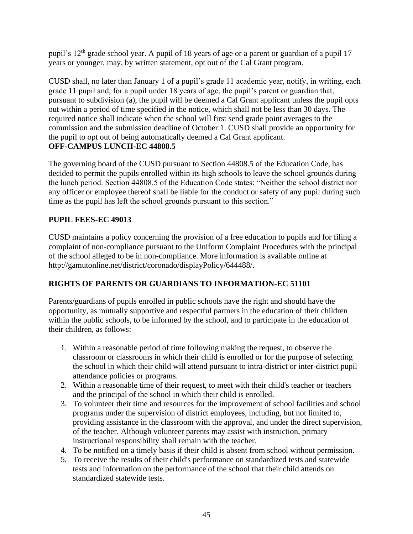pupil's 12<sup>th</sup> grade school year. A pupil of 18 years of age or a parent or guardian of a pupil 17 years or younger, may, by written statement, opt out of the Cal Grant program.

CUSD shall, no later than January 1 of a pupil's grade 11 academic year, notify, in writing, each grade 11 pupil and, for a pupil under 18 years of age, the pupil's parent or guardian that, pursuant to subdivision (a), the pupil will be deemed a Cal Grant applicant unless the pupil opts out within a period of time specified in the notice, which shall not be less than 30 days. The required notice shall indicate when the school will first send grade point averages to the commission and the submission deadline of October 1. CUSD shall provide an opportunity for the pupil to opt out of being automatically deemed a Cal Grant applicant. **OFF-CAMPUS LUNCH-EC 44808.5**

The governing board of the CUSD pursuant to Section 44808.5 of the Education Code, has decided to permit the pupils enrolled within its high schools to leave the school grounds during the lunch period. Section 44808.5 of the Education Code states: "Neither the school district nor any officer or employee thereof shall be liable for the conduct or safety of any pupil during such time as the pupil has left the school grounds pursuant to this section."

## **PUPIL FEES-EC 49013**

CUSD maintains a policy concerning the provision of a free education to pupils and for filing a complaint of non-compliance pursuant to the Uniform Complaint Procedures with the principal of the school alleged to be in non-compliance. More information is available online at [http://gamutonline.net/district/coronado/displayPolicy/644488/.](http://gamutonline.net/district/coronado/displayPolicy/644488/)

## **RIGHTS OF PARENTS OR GUARDIANS TO INFORMATION-EC 51101**

Parents/guardians of pupils enrolled in public schools have the right and should have the opportunity, as mutually supportive and respectful partners in the education of their children within the public schools, to be informed by the school, and to participate in the education of their children, as follows:

- 1. Within a reasonable period of time following making the request, to observe the classroom or classrooms in which their child is enrolled or for the purpose of selecting the school in which their child will attend pursuant to intra-district or inter-district pupil attendance policies or programs.
- 2. Within a reasonable time of their request, to meet with their child's teacher or teachers and the principal of the school in which their child is enrolled.
- 3. To volunteer their time and resources for the improvement of school facilities and school programs under the supervision of district employees, including, but not limited to, providing assistance in the classroom with the approval, and under the direct supervision, of the teacher. Although volunteer parents may assist with instruction, primary instructional responsibility shall remain with the teacher.
- 4. To be notified on a timely basis if their child is absent from school without permission.
- 5. To receive the results of their child's performance on standardized tests and statewide tests and information on the performance of the school that their child attends on standardized statewide tests.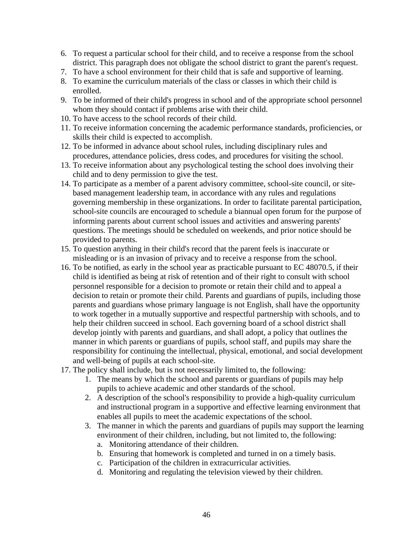- 6. To request a particular school for their child, and to receive a response from the school district. This paragraph does not obligate the school district to grant the parent's request.
- 7. To have a school environment for their child that is safe and supportive of learning.
- 8. To examine the curriculum materials of the class or classes in which their child is enrolled.
- 9. To be informed of their child's progress in school and of the appropriate school personnel whom they should contact if problems arise with their child.
- 10. To have access to the school records of their child.
- 11. To receive information concerning the academic performance standards, proficiencies, or skills their child is expected to accomplish.
- 12. To be informed in advance about school rules, including disciplinary rules and procedures, attendance policies, dress codes, and procedures for visiting the school.
- 13. To receive information about any psychological testing the school does involving their child and to deny permission to give the test.
- 14. To participate as a member of a parent advisory committee, school-site council, or sitebased management leadership team, in accordance with any rules and regulations governing membership in these organizations. In order to facilitate parental participation, school-site councils are encouraged to schedule a biannual open forum for the purpose of informing parents about current school issues and activities and answering parents' questions. The meetings should be scheduled on weekends, and prior notice should be provided to parents.
- 15. To question anything in their child's record that the parent feels is inaccurate or misleading or is an invasion of privacy and to receive a response from the school.
- 16. To be notified, as early in the school year as practicable pursuant to EC 48070.5, if their child is identified as being at risk of retention and of their right to consult with school personnel responsible for a decision to promote or retain their child and to appeal a decision to retain or promote their child. Parents and guardians of pupils, including those parents and guardians whose primary language is not English, shall have the opportunity to work together in a mutually supportive and respectful partnership with schools, and to help their children succeed in school. Each governing board of a school district shall develop jointly with parents and guardians, and shall adopt, a policy that outlines the manner in which parents or guardians of pupils, school staff, and pupils may share the responsibility for continuing the intellectual, physical, emotional, and social development and well-being of pupils at each school-site.
- 17. The policy shall include, but is not necessarily limited to, the following:
	- 1. The means by which the school and parents or guardians of pupils may help pupils to achieve academic and other standards of the school.
	- 2. A description of the school's responsibility to provide a high-quality curriculum and instructional program in a supportive and effective learning environment that enables all pupils to meet the academic expectations of the school.
	- 3. The manner in which the parents and guardians of pupils may support the learning environment of their children, including, but not limited to, the following:
		- a. Monitoring attendance of their children.
		- b. Ensuring that homework is completed and turned in on a timely basis.
		- c. Participation of the children in extracurricular activities.
		- d. Monitoring and regulating the television viewed by their children.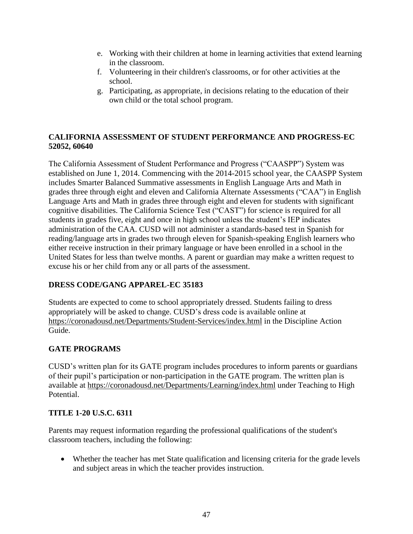- e. Working with their children at home in learning activities that extend learning in the classroom.
- f. Volunteering in their children's classrooms, or for other activities at the school.
- g. Participating, as appropriate, in decisions relating to the education of their own child or the total school program.

## **CALIFORNIA ASSESSMENT OF STUDENT PERFORMANCE AND PROGRESS-EC 52052, 60640**

The California Assessment of Student Performance and Progress ("CAASPP") System was established on June 1, 2014. Commencing with the 2014-2015 school year, the CAASPP System includes Smarter Balanced Summative assessments in English Language Arts and Math in grades three through eight and eleven and California Alternate Assessments ("CAA") in English Language Arts and Math in grades three through eight and eleven for students with significant cognitive disabilities. The California Science Test ("CAST") for science is required for all students in grades five, eight and once in high school unless the student's IEP indicates administration of the CAA. CUSD will not administer a standards-based test in Spanish for reading/language arts in grades two through eleven for Spanish-speaking English learners who either receive instruction in their primary language or have been enrolled in a school in the United States for less than twelve months. A parent or guardian may make a written request to excuse his or her child from any or all parts of the assessment.

## **DRESS CODE/GANG APPAREL-EC 35183**

Students are expected to come to school appropriately dressed. Students failing to dress appropriately will be asked to change. CUSD's dress code is available online at <https://coronadousd.net/Departments/Student-Services/index.html> in the Discipline Action Guide.

## **GATE PROGRAMS**

CUSD's written plan for its GATE program includes procedures to inform parents or guardians of their pupil's participation or non-participation in the GATE program. The written plan is available at<https://coronadousd.net/Departments/Learning/index.html> under Teaching to High Potential.

## **TITLE 1-20 U.S.C. 6311**

Parents may request information regarding the professional qualifications of the student's classroom teachers, including the following:

• Whether the teacher has met State qualification and licensing criteria for the grade levels and subject areas in which the teacher provides instruction.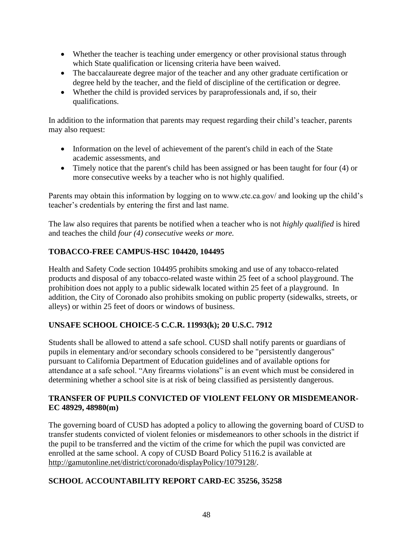- Whether the teacher is teaching under emergency or other provisional status through which State qualification or licensing criteria have been waived.
- The baccalaureate degree major of the teacher and any other graduate certification or degree held by the teacher, and the field of discipline of the certification or degree.
- Whether the child is provided services by paraprofessionals and, if so, their qualifications.

In addition to the information that parents may request regarding their child's teacher, parents may also request:

- Information on the level of achievement of the parent's child in each of the State academic assessments, and
- Timely notice that the parent's child has been assigned or has been taught for four (4) or more consecutive weeks by a teacher who is not highly qualified.

Parents may obtain this information by logging on to www.ctc.ca.gov/ and looking up the child's teacher's credentials by entering the first and last name.

The law also requires that parents be notified when a teacher who is not *highly qualified* is hired and teaches the child *four (4) consecutive weeks or more.*

## **TOBACCO-FREE CAMPUS-HSC 104420, 104495**

Health and Safety Code section 104495 prohibits smoking and use of any tobacco-related products and disposal of any tobacco-related waste within 25 feet of a school playground. The prohibition does not apply to a public sidewalk located within 25 feet of a playground. In addition, the City of Coronado also prohibits smoking on public property (sidewalks, streets, or alleys) or within 25 feet of doors or windows of business.

## **UNSAFE SCHOOL CHOICE-5 C.C.R. 11993(k); 20 U.S.C. 7912**

Students shall be allowed to attend a safe school. CUSD shall notify parents or guardians of pupils in elementary and/or secondary schools considered to be "persistently dangerous" pursuant to California Department of Education guidelines and of available options for attendance at a safe school. "Any firearms violations" is an event which must be considered in determining whether a school site is at risk of being classified as persistently dangerous.

## **TRANSFER OF PUPILS CONVICTED OF VIOLENT FELONY OR MISDEMEANOR-EC 48929, 48980(m)**

The governing board of CUSD has adopted a policy to allowing the governing board of CUSD to transfer students convicted of violent felonies or misdemeanors to other schools in the district if the pupil to be transferred and the victim of the crime for which the pupil was convicted are enrolled at the same school. A copy of CUSD Board Policy 5116.2 is available at [http://gamutonline.net/district/coronado/displayPolicy/1079128/.](http://gamutonline.net/district/coronado/displayPolicy/1079128/)

## **SCHOOL ACCOUNTABILITY REPORT CARD-EC 35256, 35258**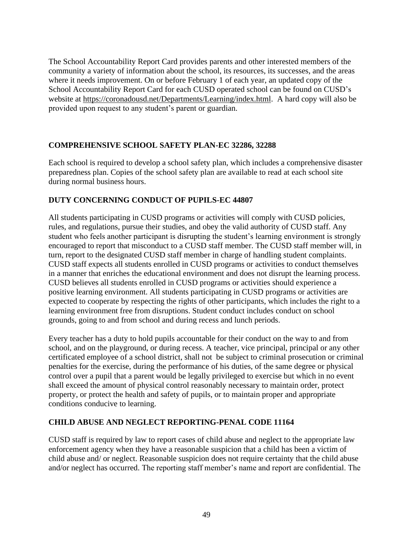The School Accountability Report Card provides parents and other interested members of the community a variety of information about the school, its resources, its successes, and the areas where it needs improvement. On or before February 1 of each year, an updated copy of the School Accountability Report Card for each CUSD operated school can be found on CUSD's website at [https://coronadousd.net/Departments/Learning/index.html.](https://coronadousd.net/Departments/Learning/index.html) A hard copy will also be provided upon request to any student's parent or guardian.

## **COMPREHENSIVE SCHOOL SAFETY PLAN-EC 32286, 32288**

Each school is required to develop a school safety plan, which includes a comprehensive disaster preparedness plan. Copies of the school safety plan are available to read at each school site during normal business hours.

## **DUTY CONCERNING CONDUCT OF PUPILS-EC 44807**

All students participating in CUSD programs or activities will comply with CUSD policies, rules, and regulations, pursue their studies, and obey the valid authority of CUSD staff. Any student who feels another participant is disrupting the student's learning environment is strongly encouraged to report that misconduct to a CUSD staff member. The CUSD staff member will, in turn, report to the designated CUSD staff member in charge of handling student complaints. CUSD staff expects all students enrolled in CUSD programs or activities to conduct themselves in a manner that enriches the educational environment and does not disrupt the learning process. CUSD believes all students enrolled in CUSD programs or activities should experience a positive learning environment. All students participating in CUSD programs or activities are expected to cooperate by respecting the rights of other participants, which includes the right to a learning environment free from disruptions. Student conduct includes conduct on school grounds, going to and from school and during recess and lunch periods.

Every teacher has a duty to hold pupils accountable for their conduct on the way to and from school, and on the playground, or during recess. A teacher, vice principal, principal or any other certificated employee of a school district, shall not be subject to criminal prosecution or criminal penalties for the exercise, during the performance of his duties, of the same degree or physical control over a pupil that a parent would be legally privileged to exercise but which in no event shall exceed the amount of physical control reasonably necessary to maintain order, protect property, or protect the health and safety of pupils, or to maintain proper and appropriate conditions conducive to learning.

## **CHILD ABUSE AND NEGLECT REPORTING-PENAL CODE 11164**

CUSD staff is required by law to report cases of child abuse and neglect to the appropriate law enforcement agency when they have a reasonable suspicion that a child has been a victim of child abuse and/ or neglect. Reasonable suspicion does not require certainty that the child abuse and/or neglect has occurred. The reporting staff member's name and report are confidential. The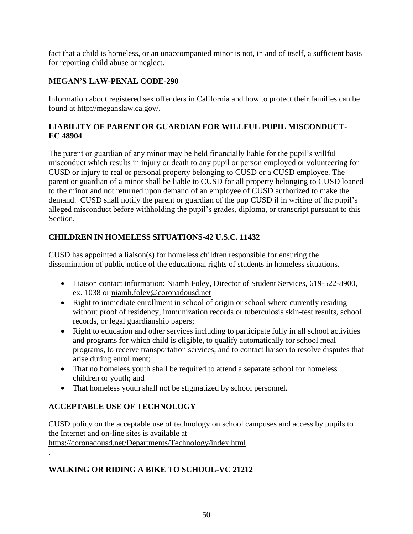fact that a child is homeless, or an unaccompanied minor is not, in and of itself, a sufficient basis for reporting child abuse or neglect.

## **MEGAN'S LAW-PENAL CODE-290**

Information about registered sex offenders in California and how to protect their families can be found at [http://meganslaw.ca.gov/.](http://meganslaw.ca.gov/)

## **LIABILITY OF PARENT OR GUARDIAN FOR WILLFUL PUPIL MISCONDUCT-EC 48904**

The parent or guardian of any minor may be held financially liable for the pupil's willful misconduct which results in injury or death to any pupil or person employed or volunteering for CUSD or injury to real or personal property belonging to CUSD or a CUSD employee. The parent or guardian of a minor shall be liable to CUSD for all property belonging to CUSD loaned to the minor and not returned upon demand of an employee of CUSD authorized to make the demand. CUSD shall notify the parent or guardian of the pup CUSD il in writing of the pupil's alleged misconduct before withholding the pupil's grades, diploma, or transcript pursuant to this Section.

## **CHILDREN IN HOMELESS SITUATIONS-42 U.S.C. 11432**

CUSD has appointed a liaison(s) for homeless children responsible for ensuring the dissemination of public notice of the educational rights of students in homeless situations.

- Liaison contact information: Niamh Foley, Director of Student Services, 619-522-8900, ex. 1038 or [niamh.foley@coronadousd.net](mailto:niamh.foley@coronadousd.net)
- Right to immediate enrollment in school of origin or school where currently residing without proof of residency, immunization records or tuberculosis skin-test results, school records, or legal guardianship papers;
- Right to education and other services including to participate fully in all school activities and programs for which child is eligible, to qualify automatically for school meal programs, to receive transportation services, and to contact liaison to resolve disputes that arise during enrollment;
- That no homeless youth shall be required to attend a separate school for homeless children or youth; and
- That homeless youth shall not be stigmatized by school personnel.

## **ACCEPTABLE USE OF TECHNOLOGY**

CUSD policy on the acceptable use of technology on school campuses and access by pupils to the Internet and on-line sites is available at [https://coronadousd.net/Departments/Technology/index.html.](https://coronadousd.net/Departments/Technology/index.html)

## **WALKING OR RIDING A BIKE TO SCHOOL-VC 21212**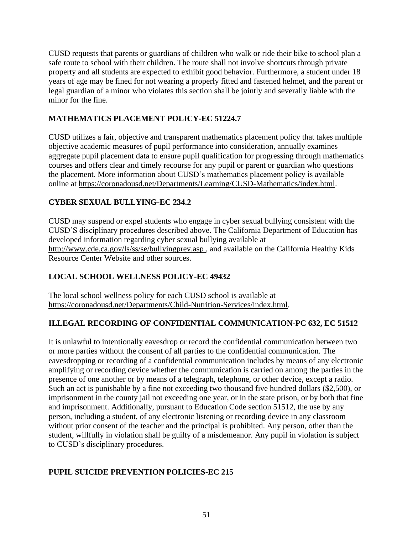CUSD requests that parents or guardians of children who walk or ride their bike to school plan a safe route to school with their children. The route shall not involve shortcuts through private property and all students are expected to exhibit good behavior. Furthermore, a student under 18 years of age may be fined for not wearing a properly fitted and fastened helmet, and the parent or legal guardian of a minor who violates this section shall be jointly and severally liable with the minor for the fine.

## **MATHEMATICS PLACEMENT POLICY-EC 51224.7**

CUSD utilizes a fair, objective and transparent mathematics placement policy that takes multiple objective academic measures of pupil performance into consideration, annually examines aggregate pupil placement data to ensure pupil qualification for progressing through mathematics courses and offers clear and timely recourse for any pupil or parent or guardian who questions the placement. More information about CUSD's mathematics placement policy is available online at [https://coronadousd.net/Departments/Learning/CUSD-Mathematics/index.html.](https://coronadousd.net/Departments/Learning/CUSD-Mathematics/index.html)

## **CYBER SEXUAL BULLYING-EC 234.2**

CUSD may suspend or expel students who engage in cyber sexual bullying consistent with the CUSD'S disciplinary procedures described above. The California Department of Education has developed information regarding cyber sexual bullying available at <http://www.cde.ca.gov/ls/ss/se/bullyingprev.asp> , and available on the California Healthy Kids Resource Center Website and other sources.

## **LOCAL SCHOOL WELLNESS POLICY-EC 49432**

The local school wellness policy for each CUSD school is available at [https://coronadousd.net/Departments/Child-Nutrition-Services/index.html.](https://coronadousd.net/Departments/Child-Nutrition-Services/index.html)

## **ILLEGAL RECORDING OF CONFIDENTIAL COMMUNICATION-PC 632, EC 51512**

It is unlawful to intentionally eavesdrop or record the confidential communication between two or more parties without the consent of all parties to the confidential communication. The eavesdropping or recording of a confidential communication includes by means of any electronic amplifying or recording device whether the communication is carried on among the parties in the presence of one another or by means of a telegraph, telephone, or other device, except a radio. Such an act is punishable by a fine not exceeding two thousand five hundred dollars (\$2,500), or imprisonment in the county jail not exceeding one year, or in the state prison, or by both that fine and imprisonment. Additionally, pursuant to Education Code section 51512, the use by any person, including a student, of any electronic listening or recording device in any classroom without prior consent of the teacher and the principal is prohibited. Any person, other than the student, willfully in violation shall be guilty of a misdemeanor. Any pupil in violation is subject to CUSD's disciplinary procedures.

## **PUPIL SUICIDE PREVENTION POLICIES-EC 215**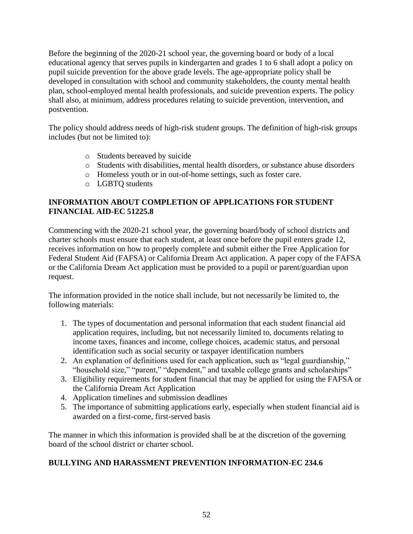Before the beginning of the 2020-21 school year, the governing board or body of a local educational agency that serves pupils in kindergarten and grades 1 to 6 shall adopt a policy on pupil suicide prevention for the above grade levels. The age-appropriate policy shall be developed in consultation with school and community stakeholders, the county mental health plan, school-employed mental health professionals, and suicide prevention experts. The policy shall also, at minimum, address procedures relating to suicide prevention, intervention, and postvention.

The policy should address needs of high-risk student groups. The definition of high-risk groups includes (but not be limited to):

- o Students bereaved by suicide
- o Students with disabilities, mental health disorders, or substance abuse disorders
- o Homeless youth or in out-of-home settings, such as foster care.
- o LGBTQ students

## **INFORMATION ABOUT COMPLETION OF APPLICATIONS FOR STUDENT FINANCIAL AID-EC 51225.8**

Commencing with the 2020-21 school year, the governing board/body of school districts and charter schools must ensure that each student, at least once before the pupil enters grade 12, receives information on how to properly complete and submit either the Free Application for Federal Student Aid (FAFSA) or California Dream Act application. A paper copy of the FAFSA or the California Dream Act application must be provided to a pupil or parent/guardian upon request.

The information provided in the notice shall include, but not necessarily be limited to, the following materials:

- 1. The types of documentation and personal information that each student financial aid application requires, including, but not necessarily limited to, documents relating to income taxes, finances and income, college choices, academic status, and personal identification such as social security or taxpayer identification numbers
- 2. An explanation of definitions used for each application, such as "legal guardianship," "household size," "parent," "dependent," and taxable college grants and scholarships"
- 3. Eligibility requirements for student financial that may be applied for using the FAFSA or the California Dream Act Application
- 4. Application timelines and submission deadlines
- 5. The importance of submitting applications early, especially when student financial aid is awarded on a first-come, first-served basis

The manner in which this information is provided shall be at the discretion of the governing board of the school district or charter school.

## **BULLYING AND HARASSMENT PREVENTION INFORMATION-EC 234.6**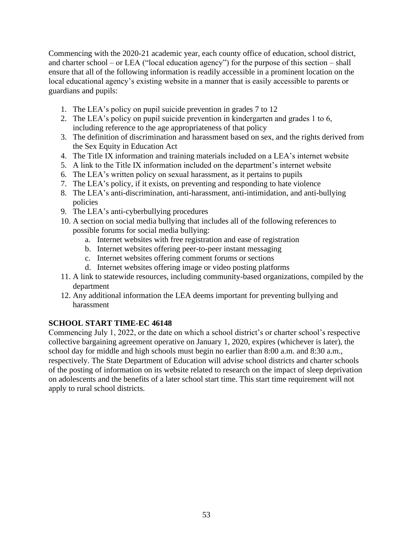Commencing with the 2020-21 academic year, each county office of education, school district, and charter school – or LEA ("local education agency") for the purpose of this section – shall ensure that all of the following information is readily accessible in a prominent location on the local educational agency's existing website in a manner that is easily accessible to parents or guardians and pupils:

- 1. The LEA's policy on pupil suicide prevention in grades 7 to 12
- 2. The LEA's policy on pupil suicide prevention in kindergarten and grades 1 to 6, including reference to the age appropriateness of that policy
- 3. The definition of discrimination and harassment based on sex, and the rights derived from the Sex Equity in Education Act
- 4. The Title IX information and training materials included on a LEA's internet website
- 5. A link to the Title IX information included on the department's internet website
- 6. The LEA's written policy on sexual harassment, as it pertains to pupils
- 7. The LEA's policy, if it exists, on preventing and responding to hate violence
- 8. The LEA's anti-discrimination, anti-harassment, anti-intimidation, and anti-bullying policies
- 9. The LEA's anti-cyberbullying procedures
- 10. A section on social media bullying that includes all of the following references to possible forums for social media bullying:
	- a. Internet websites with free registration and ease of registration
	- b. Internet websites offering peer-to-peer instant messaging
	- c. Internet websites offering comment forums or sections
	- d. Internet websites offering image or video posting platforms
- 11. A link to statewide resources, including community-based organizations, compiled by the department
- 12. Any additional information the LEA deems important for preventing bullying and harassment

## **SCHOOL START TIME-EC 46148**

Commencing July 1, 2022, or the date on which a school district's or charter school's respective collective bargaining agreement operative on January 1, 2020, expires (whichever is later), the school day for middle and high schools must begin no earlier than 8:00 a.m. and 8:30 a.m., respectively. The State Department of Education will advise school districts and charter schools of the posting of information on its website related to research on the impact of sleep deprivation on adolescents and the benefits of a later school start time. This start time requirement will not apply to rural school districts.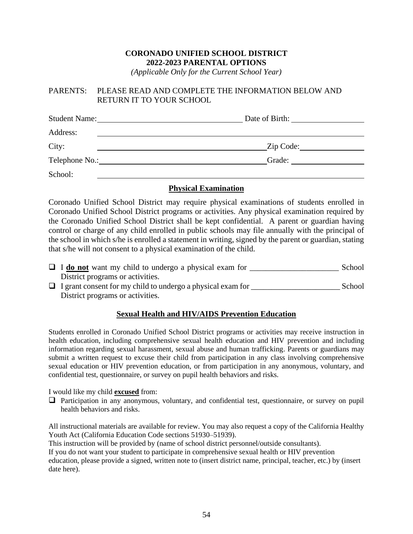## **CORONADO UNIFIED SCHOOL DISTRICT 2022-2023 PARENTAL OPTIONS**

*(Applicable Only for the Current School Year)*

#### PARENTS: PLEASE READ AND COMPLETE THE INFORMATION BELOW AND RETURN IT TO YOUR SCHOOL

| <b>Student Name:</b> | Date of Birth: |
|----------------------|----------------|
| Address:             |                |
| City:                | Zip Code:      |
|                      | Grade:         |
| School:              |                |

#### **Physical Examination**

Coronado Unified School District may require physical examinations of students enrolled in Coronado Unified School District programs or activities. Any physical examination required by the Coronado Unified School District shall be kept confidential. A parent or guardian having control or charge of any child enrolled in public schools may file annually with the principal of the school in which s/he is enrolled a statement in writing, signed by the parent or guardian, stating that s/he will not consent to a physical examination of the child.

- □ **I do not** want my child to undergo a physical exam for School District programs or activities.
- $\Box$  I grant consent for my child to undergo a physical exam for School District programs or activities.

## **Sexual Health and HIV/AIDS Prevention Education**

Students enrolled in Coronado Unified School District programs or activities may receive instruction in health education, including comprehensive sexual health education and HIV prevention and including information regarding sexual harassment, sexual abuse and human trafficking. Parents or guardians may submit a written request to excuse their child from participation in any class involving comprehensive sexual education or HIV prevention education, or from participation in any anonymous, voluntary, and confidential test, questionnaire, or survey on pupil health behaviors and risks.

I would like my child **excused** from:

□ Participation in any anonymous, voluntary, and confidential test, questionnaire, or survey on pupil health behaviors and risks.

All instructional materials are available for review. You may also request a copy of the California Healthy Youth Act (California Education Code sections 51930–51939).

This instruction will be provided by (name of school district personnel/outside consultants).

If you do not want your student to participate in comprehensive sexual health or HIV prevention education, please provide a signed, written note to (insert district name, principal, teacher, etc.) by (insert date here).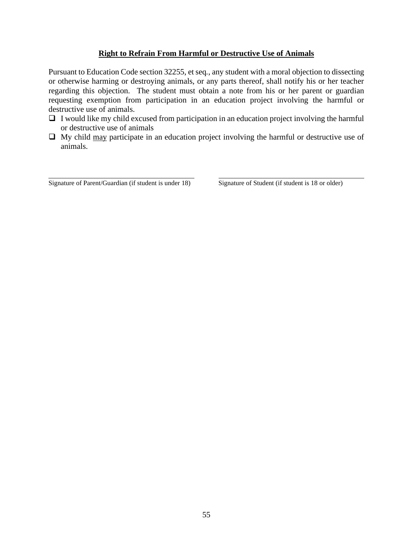#### **Right to Refrain From Harmful or Destructive Use of Animals**

Pursuant to Education Code section 32255, et seq*.*, any student with a moral objection to dissecting or otherwise harming or destroying animals, or any parts thereof, shall notify his or her teacher regarding this objection. The student must obtain a note from his or her parent or guardian requesting exemption from participation in an education project involving the harmful or destructive use of animals.

- $\Box$  I would like my child excused from participation in an education project involving the harmful or destructive use of animals
- $\Box$  My child <u>may</u> participate in an education project involving the harmful or destructive use of animals.

Signature of Parent/Guardian (if student is under 18) Signature of Student (if student is 18 or older)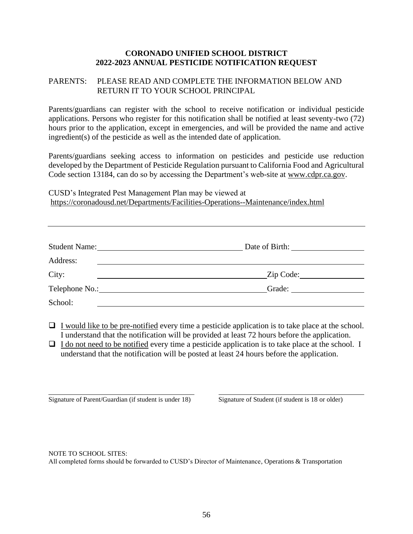#### **CORONADO UNIFIED SCHOOL DISTRICT 2022-2023 ANNUAL PESTICIDE NOTIFICATION REQUEST**

#### PARENTS: PLEASE READ AND COMPLETE THE INFORMATION BELOW AND RETURN IT TO YOUR SCHOOL PRINCIPAL

Parents/guardians can register with the school to receive notification or individual pesticide applications. Persons who register for this notification shall be notified at least seventy-two (72) hours prior to the application, except in emergencies, and will be provided the name and active ingredient(s) of the pesticide as well as the intended date of application.

Parents/guardians seeking access to information on pesticides and pesticide use reduction developed by the Department of Pesticide Regulation pursuant to California Food and Agricultural Code section 13184, can do so by accessing the Department's web-site at [www.cdpr.ca.gov.](http://www.cdpr.ca.gov/)

CUSD's Integrated Pest Management Plan may be viewed at <https://coronadousd.net/Departments/Facilities-Operations--Maintenance/index.html>

| <b>Student Name:</b><br><u>and the state of the state of the state of the state of the state of the state of the state of the state of th</u> | Date of Birth:         |
|-----------------------------------------------------------------------------------------------------------------------------------------------|------------------------|
| Address:                                                                                                                                      |                        |
| City:                                                                                                                                         | Zip Code: 2000         |
|                                                                                                                                               | Grade: $\qquad \qquad$ |
| School:                                                                                                                                       |                        |

 $\Box$  I would like to be pre-notified every time a pesticide application is to take place at the school. I understand that the notification will be provided at least 72 hours before the application.

 $\Box$  I do not need to be notified every time a pesticide application is to take place at the school. I understand that the notification will be posted at least 24 hours before the application.

Signature of Parent/Guardian (if student is under 18) Signature of Student (if student is 18 or older)

NOTE TO SCHOOL SITES:

All completed forms should be forwarded to CUSD's Director of Maintenance, Operations & Transportation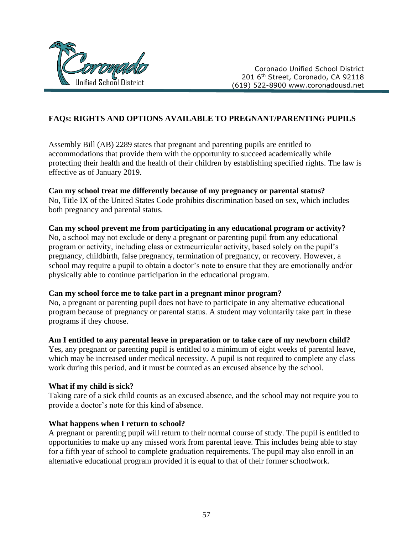

Coronado Unified School District 201 6<sup>th</sup> Street, Coronado, CA 92118 (619) 522-8900 www.coronadousd.net

## **FAQs: RIGHTS AND OPTIONS AVAILABLE TO PREGNANT/PARENTING PUPILS**

Assembly Bill (AB) 2289 states that pregnant and parenting pupils are entitled to accommodations that provide them with the opportunity to succeed academically while protecting their health and the health of their children by establishing specified rights. The law is effective as of January 2019.

#### **Can my school treat me differently because of my pregnancy or parental status?**

No, Title IX of the United States Code prohibits discrimination based on sex, which includes both pregnancy and parental status.

#### **Can my school prevent me from participating in any educational program or activity?**

No, a school may not exclude or deny a pregnant or parenting pupil from any educational program or activity, including class or extracurricular activity, based solely on the pupil's pregnancy, childbirth, false pregnancy, termination of pregnancy, or recovery. However, a school may require a pupil to obtain a doctor's note to ensure that they are emotionally and/or physically able to continue participation in the educational program.

#### **Can my school force me to take part in a pregnant minor program?**

No, a pregnant or parenting pupil does not have to participate in any alternative educational program because of pregnancy or parental status. A student may voluntarily take part in these programs if they choose.

#### **Am I entitled to any parental leave in preparation or to take care of my newborn child?**

Yes, any pregnant or parenting pupil is entitled to a minimum of eight weeks of parental leave, which may be increased under medical necessity. A pupil is not required to complete any class work during this period, and it must be counted as an excused absence by the school.

#### **What if my child is sick?**

Taking care of a sick child counts as an excused absence, and the school may not require you to provide a doctor's note for this kind of absence.

#### **What happens when I return to school?**

A pregnant or parenting pupil will return to their normal course of study. The pupil is entitled to opportunities to make up any missed work from parental leave. This includes being able to stay for a fifth year of school to complete graduation requirements. The pupil may also enroll in an alternative educational program provided it is equal to that of their former schoolwork.